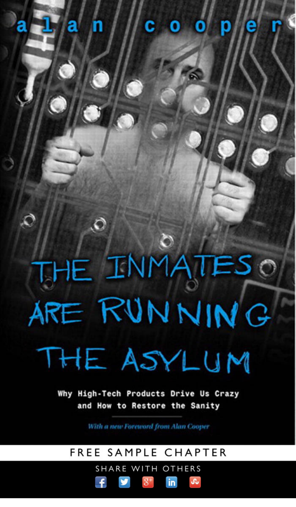# THE INMATES O ARE RUNNING

 $\bullet$ 

# THE ASYLUM

Why High-Tech Products Drive Us Crazy and How to Restore the Sanity

With a new Foreword from Alan Cooper

#### FREE SAMPLE CHAPTER

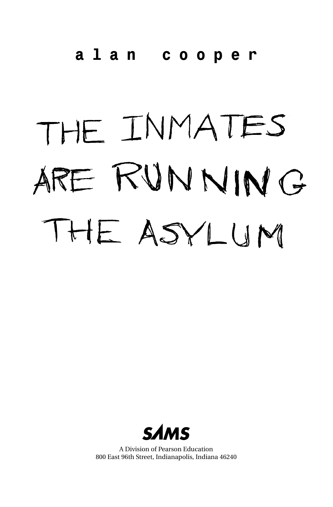# THE INMATES RE RUNNING THE ASYLUM



A Division of Pearson Education 800 East 96th Street, Indianapolis, Indiana 46240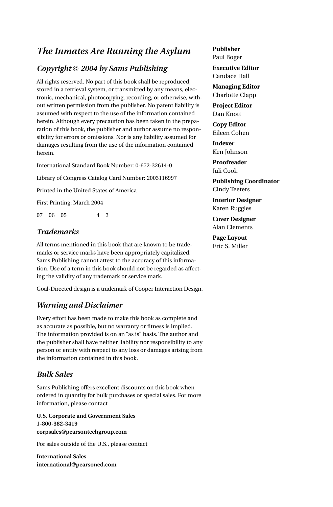#### *The Inmates Are Running the Asylum*

#### *Copyright* © *2004 by Sams Publishing*

All rights reserved. No part of this book shall be reproduced, stored in a retrieval system, or transmitted by any means, electronic, mechanical, photocopying, recording, or otherwise, without written permission from the publisher. No patent liability is assumed with respect to the use of the information contained herein. Although every precaution has been taken in the preparation of this book, the publisher and author assume no responsibility for errors or omissions. Nor is any liability assumed for damages resulting from the use of the information contained herein.

International Standard Book Number: 0-672-32614-0

Library of Congress Catalog Card Number: 2003116997

Printed in the United States of America

First Printing: March 2004

07 06 05 4 3

#### *Trademarks*

All terms mentioned in this book that are known to be trademarks or service marks have been appropriately capitalized. Sams Publishing cannot attest to the accuracy of this information. Use of a term in this book should not be regarded as affecting the validity of any trademark or service mark.

Goal-Directed design is a trademark of Cooper Interaction Design.

#### *Warning and Disclaimer*

Every effort has been made to make this book as complete and as accurate as possible, but no warranty or fitness is implied. The information provided is on an "as is" basis. The author and the publisher shall have neither liability nor responsibility to any person or entity with respect to any loss or damages arising from the information contained in this book.

#### *Bulk Sales*

Sams Publishing offers excellent discounts on this book when ordered in quantity for bulk purchases or special sales. For more information, please contact

**U.S. Corporate and Government Sales 1-800-382-3419 corpsales@pearsontechgroup.com**

For sales outside of the U.S., please contact

**International Sales international@pearsoned.com**

#### **Publisher** Paul Boger

**Executive Editor** Candace Hall

**Managing Editor** Charlotte Clapp

**Project Editor** Dan Knott

**Copy Editor** Eileen Cohen

**Indexer** Ken Johnson

**Proofreader** Juli Cook

**Publishing Coordinator** Cindy Teeters

**Interior Designer** Karen Ruggles

**Cover Designer** Alan Clements

**Page Layout** Eric S. Miller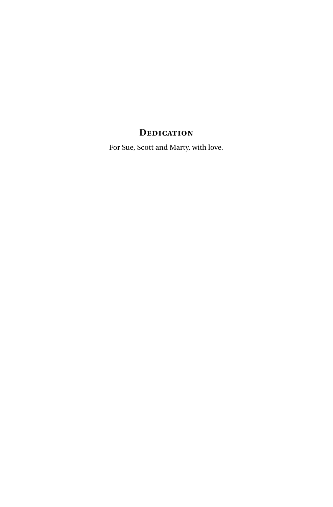#### D**EDICATION**

For Sue, Scott and Marty, with love.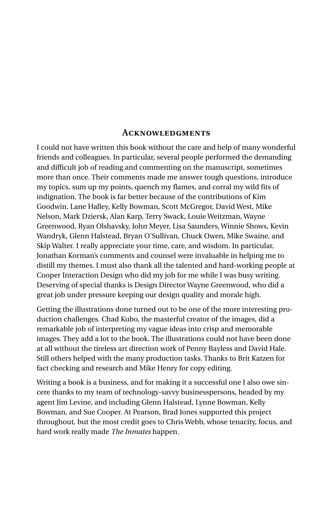#### **Acknowledgments**

I could not have written this book without the care and help of many wonderful friends and colleagues. In particular, several people performed the demanding and difficult job of reading and commenting on the manuscript, sometimes more than once. Their comments made me answer tough questions, introduce my topics, sum up my points, quench my flames, and corral my wild fits of indignation. The book is far better because of the contributions of Kim Goodwin, Lane Halley, Kelly Bowman, Scott McGregor, David West, Mike Nelson, Mark Dziersk, Alan Karp, Terry Swack, Louie Weitzman, Wayne Greenwood, Ryan Olshavsky, John Meyer, Lisa Saunders, Winnie Shows, Kevin Wandryk, Glenn Halstead, Bryan O'Sullivan, Chuck Owen, Mike Swaine, and Skip Walter. I really appreciate your time, care, and wisdom. In particular, Jonathan Korman's comments and counsel were invaluable in helping me to distill my themes. I must also thank all the talented and hard-working people at Cooper Interaction Design who did my job for me while I was busy writing. Deserving of special thanks is Design Director Wayne Greenwood, who did a great job under pressure keeping our design quality and morale high.

Getting the illustrations done turned out to be one of the more interesting production challenges. Chad Kubo, the masterful creator of the images, did a remarkable job of interpreting my vague ideas into crisp and memorable images. They add a lot to the book. The illustrations could not have been done at all without the tireless art direction work of Penny Bayless and David Hale. Still others helped with the many production tasks. Thanks to Brit Katzen for fact checking and research and Mike Henry for copy editing.

Writing a book is a business, and for making it a successful one I also owe sincere thanks to my team of technology-savvy businesspersons, headed by my agent Jim Levine, and including Glenn Halstead, Lynne Bowman, Kelly Bowman, and Sue Cooper. At Pearson, Brad Jones supported this project throughout, but the most credit goes to Chris Webb, whose tenacity, focus, and hard work really made *The Inmates* happen.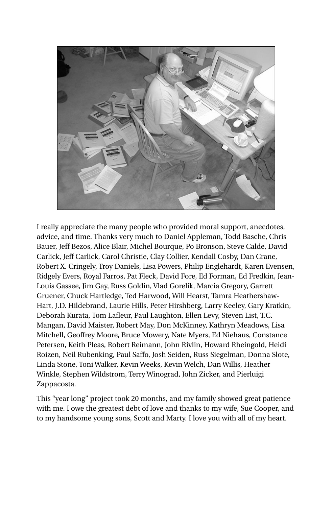

I really appreciate the many people who provided moral support, anecdotes, advice, and time. Thanks very much to Daniel Appleman, Todd Basche, Chris Bauer, Jeff Bezos, Alice Blair, Michel Bourque, Po Bronson, Steve Calde, David Carlick, Jeff Carlick, Carol Christie, Clay Collier, Kendall Cosby, Dan Crane, Robert X. Cringely, Troy Daniels, Lisa Powers, Philip Englehardt, Karen Evensen, Ridgely Evers, Royal Farros, Pat Fleck, David Fore, Ed Forman, Ed Fredkin, Jean-Louis Gassee, Jim Gay, Russ Goldin, Vlad Gorelik, Marcia Gregory, Garrett Gruener, Chuck Hartledge, Ted Harwood, Will Hearst, Tamra Heathershaw-Hart, J.D. Hildebrand, Laurie Hills, Peter Hirshberg, Larry Keeley, Gary Kratkin, Deborah Kurata, Tom Lafleur, Paul Laughton, Ellen Levy, Steven List, T.C. Mangan, David Maister, Robert May, Don McKinney, Kathryn Meadows, Lisa Mitchell, Geoffrey Moore, Bruce Mowery, Nate Myers, Ed Niehaus, Constance Petersen, Keith Pleas, Robert Reimann, John Rivlin, Howard Rheingold, Heidi Roizen, Neil Rubenking, Paul Saffo, Josh Seiden, Russ Siegelman, Donna Slote, Linda Stone, Toni Walker, Kevin Weeks, Kevin Welch, Dan Willis, Heather Winkle, Stephen Wildstrom, Terry Winograd, John Zicker, and Pierluigi Zappacosta.

This "year long" project took 20 months, and my family showed great patience with me. I owe the greatest debt of love and thanks to my wife, Sue Cooper, and to my handsome young sons, Scott and Marty. I love you with all of my heart.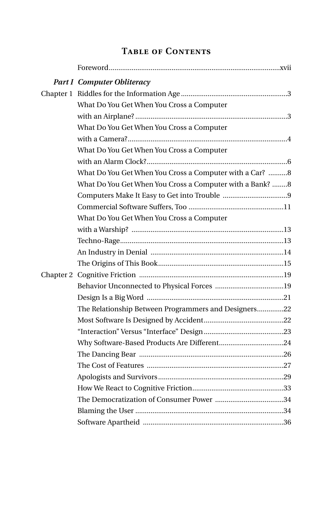#### **Table of Contents**

<span id="page-6-0"></span>

| <b>Part I Computer Obliteracy</b>                        |  |
|----------------------------------------------------------|--|
|                                                          |  |
| What Do You Get When You Cross a Computer                |  |
|                                                          |  |
| What Do You Get When You Cross a Computer                |  |
|                                                          |  |
| What Do You Get When You Cross a Computer                |  |
|                                                          |  |
| What Do You Get When You Cross a Computer with a Car? 8  |  |
| What Do You Get When You Cross a Computer with a Bank? 8 |  |
|                                                          |  |
|                                                          |  |
| What Do You Get When You Cross a Computer                |  |
|                                                          |  |
|                                                          |  |
|                                                          |  |
|                                                          |  |
|                                                          |  |
|                                                          |  |
|                                                          |  |
| The Relationship Between Programmers and Designers22     |  |
|                                                          |  |
|                                                          |  |
|                                                          |  |
|                                                          |  |
|                                                          |  |
|                                                          |  |
|                                                          |  |
|                                                          |  |
|                                                          |  |
|                                                          |  |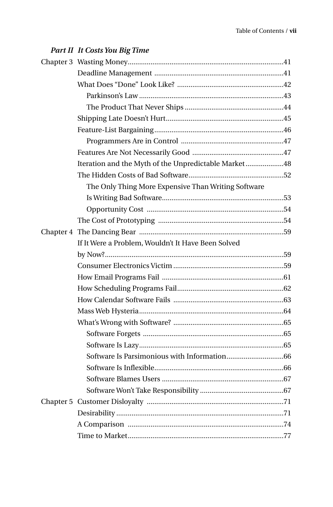#### <span id="page-7-0"></span>Part II It Costs You Big Time

|  | Iteration and the Myth of the Unpredictable Market48 |  |
|--|------------------------------------------------------|--|
|  |                                                      |  |
|  | The Only Thing More Expensive Than Writing Software  |  |
|  |                                                      |  |
|  |                                                      |  |
|  |                                                      |  |
|  |                                                      |  |
|  | If It Were a Problem, Wouldn't It Have Been Solved   |  |
|  |                                                      |  |
|  |                                                      |  |
|  |                                                      |  |
|  |                                                      |  |
|  |                                                      |  |
|  |                                                      |  |
|  |                                                      |  |
|  |                                                      |  |
|  |                                                      |  |
|  |                                                      |  |
|  |                                                      |  |
|  |                                                      |  |
|  |                                                      |  |
|  |                                                      |  |
|  |                                                      |  |
|  |                                                      |  |
|  |                                                      |  |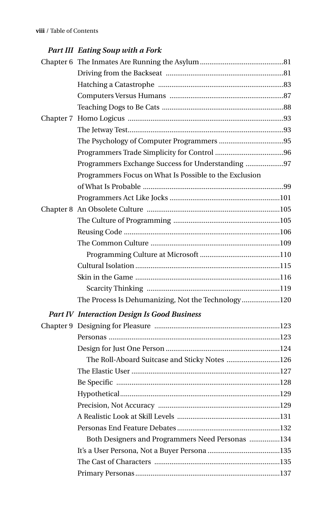#### *[Part III Eating Soup with a Fork](#page--1-0)*

| Chapter 7 |                                                        |  |
|-----------|--------------------------------------------------------|--|
|           |                                                        |  |
|           |                                                        |  |
|           |                                                        |  |
|           | Programmers Exchange Success for Understanding 97      |  |
|           | Programmers Focus on What Is Possible to the Exclusion |  |
|           |                                                        |  |
|           |                                                        |  |
|           |                                                        |  |
|           |                                                        |  |
|           |                                                        |  |
|           |                                                        |  |
|           |                                                        |  |
|           |                                                        |  |
|           |                                                        |  |
|           |                                                        |  |
|           | The Process Is Dehumanizing, Not the Technology120     |  |
|           | <b>Part IV Interaction Design Is Good Business</b>     |  |
|           |                                                        |  |
|           |                                                        |  |
|           |                                                        |  |
|           | The Roll-Aboard Suitcase and Sticky Notes 126          |  |
|           |                                                        |  |
|           |                                                        |  |
|           |                                                        |  |
|           |                                                        |  |
|           |                                                        |  |
|           |                                                        |  |
|           | Both Designers and Programmers Need Personas 134       |  |
|           |                                                        |  |
|           |                                                        |  |
|           |                                                        |  |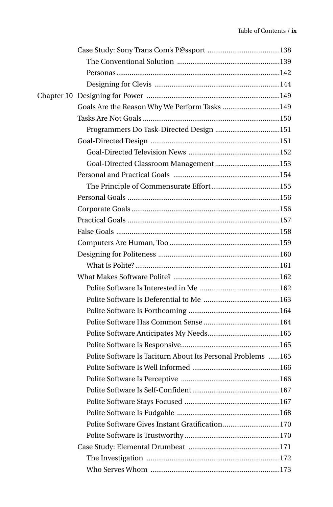|  | Goals Are the Reason Why We Perform Tasks 149               |  |
|--|-------------------------------------------------------------|--|
|  |                                                             |  |
|  | Programmers Do Task-Directed Design 151                     |  |
|  |                                                             |  |
|  |                                                             |  |
|  | Goal-Directed Classroom Management 153                      |  |
|  |                                                             |  |
|  |                                                             |  |
|  |                                                             |  |
|  |                                                             |  |
|  |                                                             |  |
|  |                                                             |  |
|  |                                                             |  |
|  |                                                             |  |
|  |                                                             |  |
|  |                                                             |  |
|  |                                                             |  |
|  |                                                             |  |
|  |                                                             |  |
|  |                                                             |  |
|  |                                                             |  |
|  |                                                             |  |
|  | Polite Software Is Taciturn About Its Personal Problems 165 |  |
|  |                                                             |  |
|  |                                                             |  |
|  |                                                             |  |
|  |                                                             |  |
|  |                                                             |  |
|  | Polite Software Gives Instant Gratification170              |  |
|  |                                                             |  |
|  |                                                             |  |
|  |                                                             |  |
|  |                                                             |  |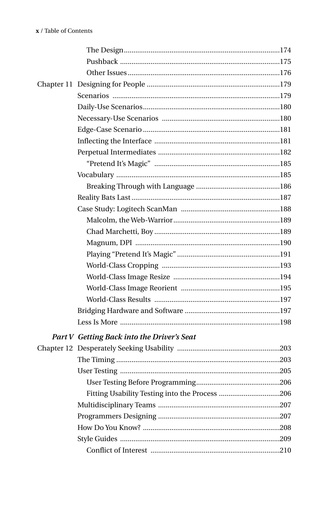|  | Part V Getting Back into the Driver's Seat |  |
|--|--------------------------------------------|--|
|  |                                            |  |
|  |                                            |  |
|  |                                            |  |
|  |                                            |  |
|  |                                            |  |
|  |                                            |  |
|  |                                            |  |
|  |                                            |  |
|  |                                            |  |
|  |                                            |  |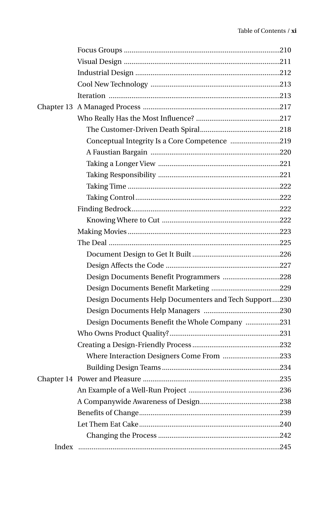<span id="page-11-0"></span>

| Conceptual Integrity Is a Core Competence 219         |  |
|-------------------------------------------------------|--|
|                                                       |  |
|                                                       |  |
|                                                       |  |
|                                                       |  |
|                                                       |  |
|                                                       |  |
|                                                       |  |
|                                                       |  |
|                                                       |  |
|                                                       |  |
|                                                       |  |
| Design Documents Benefit Programmers 228              |  |
|                                                       |  |
| Design Documents Help Documenters and Tech Support230 |  |
|                                                       |  |
| Design Documents Benefit the Whole Company 231        |  |
|                                                       |  |
|                                                       |  |
| Where Interaction Designers Come From 233             |  |
|                                                       |  |
|                                                       |  |
|                                                       |  |
|                                                       |  |
|                                                       |  |
|                                                       |  |
|                                                       |  |
|                                                       |  |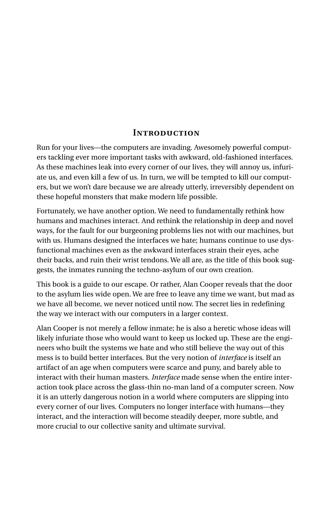#### **Introduction**

Run for your lives—the computers are invading. Awesomely powerful computers tackling ever more important tasks with awkward, old-fashioned interfaces. As these machines leak into every corner of our lives, they will annoy us, infuriate us, and even kill a few of us. In turn, we will be tempted to kill our computers, but we won't dare because we are already utterly, irreversibly dependent on these hopeful monsters that make modern life possible.

Fortunately, we have another option. We need to fundamentally rethink how humans and machines interact. And rethink the relationship in deep and novel ways, for the fault for our burgeoning problems lies not with our machines, but with us. Humans designed the interfaces we hate; humans continue to use dysfunctional machines even as the awkward interfaces strain their eyes, ache their backs, and ruin their wrist tendons. We all are, as the title of this book suggests, the inmates running the techno-asylum of our own creation.

This book is a guide to our escape. Or rather, Alan Cooper reveals that the door to the asylum lies wide open. We are free to leave any time we want, but mad as we have all become, we never noticed until now. The secret lies in redefining the way we interact with our computers in a larger context.

Alan Cooper is not merely a fellow inmate; he is also a heretic whose ideas will likely infuriate those who would want to keep us locked up. These are the engineers who built the systems we hate and who still believe the way out of this mess is to build better interfaces. But the very notion of *interface* is itself an artifact of an age when computers were scarce and puny, and barely able to interact with their human masters. *Interface* made sense when the entire interaction took place across the glass-thin no-man land of a computer screen. Now it is an utterly dangerous notion in a world where computers are slipping into every corner of our lives. Computers no longer interface with humans—they interact, and the interaction will become steadily deeper, more subtle, and more crucial to our collective sanity and ultimate survival.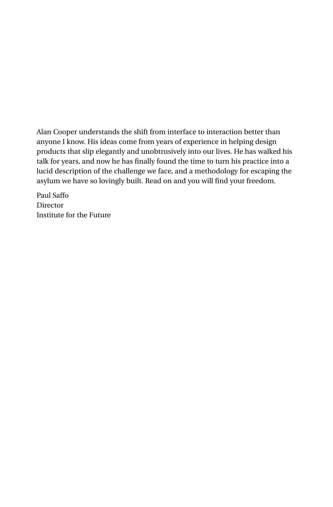Alan Cooper understands the shift from interface to interaction better than anyone I know. His ideas come from years of experience in helping design products that slip elegantly and unobtrusively into our lives. He has walked his talk for years, and now he has finally found the time to turn his practice into a lucid description of the challenge we face, and a methodology for escaping the asylum we have so lovingly built. Read on and you will find your freedom.

Paul Saffo Director Institute for the Future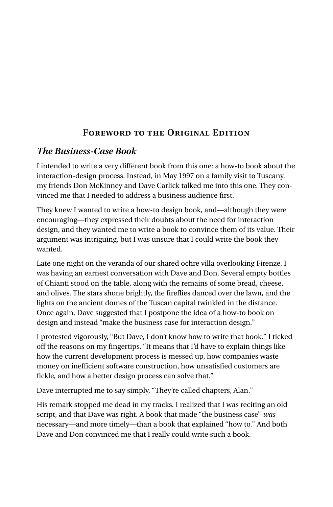#### **Foreword to the Original Edition**

#### *The Business-Case Book*

I intended to write a very different book from this one: a how-to book about the interaction-design process. Instead, in May 1997 on a family visit to Tuscany, my friends Don McKinney and Dave Carlick talked me into this one. They convinced me that I needed to address a business audience first.

They knew I wanted to write a how-to design book, and—although they were encouraging—they expressed their doubts about the need for interaction design, and they wanted me to write a book to convince them of its value. Their argument was intriguing, but I was unsure that I could write the book they wanted.

Late one night on the veranda of our shared ochre villa overlooking Firenze, I was having an earnest conversation with Dave and Don. Several empty bottles of Chianti stood on the table, along with the remains of some bread, cheese, and olives. The stars shone brightly, the fireflies danced over the lawn, and the lights on the ancient domes of the Tuscan capital twinkled in the distance. Once again, Dave suggested that I postpone the idea of a how-to book on design and instead "make the business case for interaction design."

I protested vigorously, "But Dave, I don't know how to write that book." I ticked off the reasons on my fingertips. "It means that I'd have to explain things like how the current development process is messed up, how companies waste money on inefficient software construction, how unsatisfied customers are fickle, and how a better design process can solve that."

Dave interrupted me to say simply, "They're called chapters, Alan."

His remark stopped me dead in my tracks. I realized that I was reciting an old script, and that Dave was right. A book that made "the business case" *was* necessary—and more timely—than a book that explained "how to." And both Dave and Don convinced me that I really could write such a book.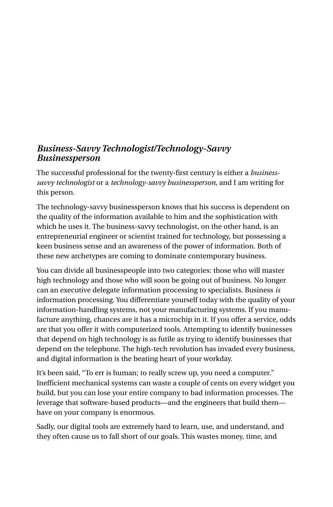#### *Business-Savvy Technologist/Technology-Savvy Businessperson*

The successful professional for the twenty-first century is either a *businesssavvy technologist* or a *technology-savvy businessperson*, and I am writing for this person.

The technology-savvy businessperson knows that his success is dependent on the quality of the information available to him and the sophistication with which he uses it. The business-savvy technologist, on the other hand, is an entrepreneurial engineer or scientist trained for technology, but possessing a keen business sense and an awareness of the power of information. Both of these new archetypes are coming to dominate contemporary business.

You can divide all businesspeople into two categories: those who will master high technology and those who will soon be going out of business. No longer can an executive delegate information processing to specialists. Business *is* information processing. You differentiate yourself today with the quality of your information-handling systems, not your manufacturing systems. If you manufacture anything, chances are it has a microchip in it. If you offer a service, odds are that you offer it with computerized tools. Attempting to identify businesses that depend on high technology is as futile as trying to identify businesses that depend on the telephone. The high-tech revolution has invaded every business, and digital information is the beating heart of your workday.

It's been said, "To err is human; to really screw up, you need a computer." Inefficient mechanical systems can waste a couple of cents on every widget you build, but you can lose your entire company to bad information processes. The leverage that software-based products—and the engineers that build them have on your company is enormous.

Sadly, our digital tools are extremely hard to learn, use, and understand, and they often cause us to fall short of our goals. This wastes money, time, and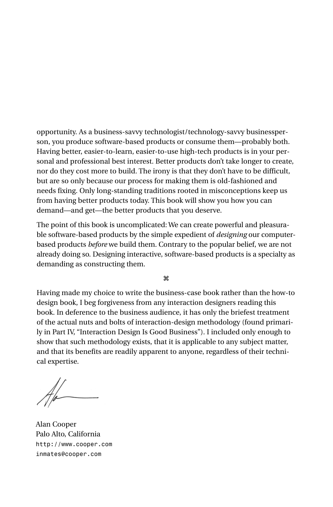opportunity. As a business-savvy technologist/technology-savvy businessperson, you produce software-based products or consume them—probably both. Having better, easier-to-learn, easier-to-use high-tech products is in your personal and professional best interest. Better products don't take longer to create, nor do they cost more to build. The irony is that they don't have to be difficult, but are so only because our process for making them is old-fashioned and needs fixing. Only long-standing traditions rooted in misconceptions keep us from having better products today. This book will show you how you can demand—and get—the better products that you deserve.

The point of this book is uncomplicated: We can create powerful and pleasurable software-based products by the simple expedient of *designing* our computerbased products *before* we build them. Contrary to the popular belief, we are not already doing so. Designing interactive, software-based products is a specialty as demanding as constructing them.

x

Having made my choice to write the business-case book rather than the how-to design book, I beg forgiveness from any interaction designers reading this book. In deference to the business audience, it has only the briefest treatment of the actual nuts and bolts of interaction-design methodology (found primarily in Part IV, "Interaction Design Is Good Business"). I included only enough to show that such methodology exists, that it is applicable to any subject matter, and that its benefits are readily apparent to anyone, regardless of their technical expertise.

Alan Cooper Palo Alto, California <http://www.cooper.com> inmates@cooper.com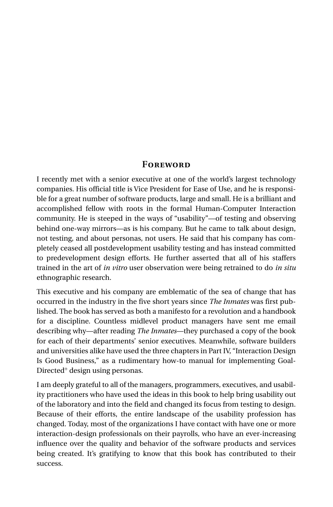#### **F[oreword](#page-6-0)**

<span id="page-17-0"></span>I recently met with a senior executive at one of the world's largest technology companies. His official title is Vice President for Ease of Use, and he is responsible for a great number of software products, large and small. He is a brilliant and accomplished fellow with roots in the formal Human-Computer Interaction community. He is steeped in the ways of "usability"—of testing and observing behind one-way mirrors—as is his company. But he came to talk about design, not testing, and about personas, not users. He said that his company has completely ceased all postdevelopment usability testing and has instead committed to predevelopment design efforts. He further asserted that all of his staffers trained in the art of *in vitro* user observation were being retrained to do *in situ* ethnographic research.

This executive and his company are emblematic of the sea of change that has occurred in the industry in the five short years since *The Inmates* was first published. The book has served as both a manifesto for a revolution and a handbook for a discipline. Countless midlevel product managers have sent me email describing why—after reading *The Inmates*—they purchased a copy of the book for each of their departments' senior executives. Meanwhile, software builders and universities alike have used the three chapters in Part IV, "Interaction Design Is Good Business," as a rudimentary how-to manual for implementing Goal-Directed® design using personas.

I am deeply grateful to all of the managers, programmers, executives, and usability practitioners who have used the ideas in this book to help bring usability out of the laboratory and into the field and changed its focus from testing to design. Because of their efforts, the entire landscape of the usability profession has changed. Today, most of the organizations I have contact with have one or more interaction-design professionals on their payrolls, who have an ever-increasing influence over the quality and behavior of the software products and services being created. It's gratifying to know that this book has contributed to their success.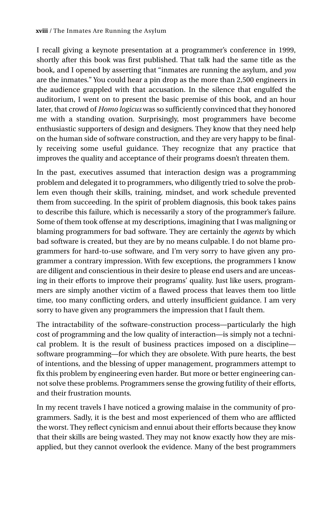I recall giving a keynote presentation at a programmer's conference in 1999, shortly after this book was first published. That talk had the same title as the book, and I opened by asserting that "inmates are running the asylum, and *you* are the inmates." You could hear a pin drop as the more than 2,500 engineers in the audience grappled with that accusation. In the silence that engulfed the auditorium, I went on to present the basic premise of this book, and an hour later, that crowd of *Homo logicus* was so sufficiently convinced that they honored me with a standing ovation. Surprisingly, most programmers have become enthusiastic supporters of design and designers. They know that they need help on the human side of software construction, and they are very happy to be finally receiving some useful guidance. They recognize that any practice that improves the quality and acceptance of their programs doesn't threaten them.

In the past, executives assumed that interaction design was a programming problem and delegated it to programmers, who diligently tried to solve the problem even though their skills, training, mindset, and work schedule prevented them from succeeding. In the spirit of problem diagnosis, this book takes pains to describe this failure, which is necessarily a story of the programmer's failure. Some of them took offense at my descriptions, imagining that I was maligning or blaming programmers for bad software. They are certainly the *agents* by which bad software is created, but they are by no means culpable. I do not blame programmers for hard-to-use software, and I'm very sorry to have given any programmer a contrary impression. With few exceptions, the programmers I know are diligent and conscientious in their desire to please end users and are unceasing in their efforts to improve their programs' quality. Just like users, programmers are simply another victim of a flawed process that leaves them too little time, too many conflicting orders, and utterly insufficient guidance. I am very sorry to have given any programmers the impression that I fault them.

The intractability of the software-construction process—particularly the high cost of programming and the low quality of interaction—is simply not a technical problem. It is the result of business practices imposed on a discipline software programming—for which they are obsolete. With pure hearts, the best of intentions, and the blessing of upper management, programmers attempt to fix this problem by engineering even harder. But more or better engineering cannot solve these problems. Programmers sense the growing futility of their efforts, and their frustration mounts.

In my recent travels I have noticed a growing malaise in the community of programmers. Sadly, it is the best and most experienced of them who are afflicted the worst. They reflect cynicism and ennui about their efforts because they know that their skills are being wasted. They may not know exactly how they are misapplied, but they cannot overlook the evidence. Many of the best programmers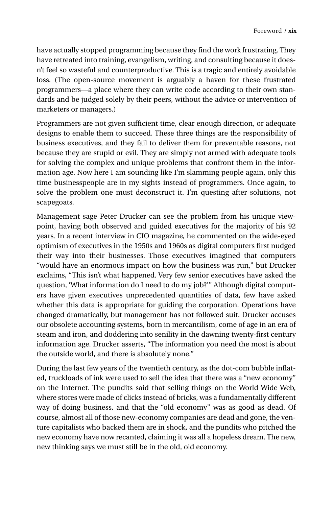have actually stopped programming because they find the work frustrating. They have retreated into training, evangelism, writing, and consulting because it doesn't feel so wasteful and counterproductive. This is a tragic and entirely avoidable loss. (The open-source movement is arguably a haven for these frustrated programmers—a place where they can write code according to their own standards and be judged solely by their peers, without the advice or intervention of marketers or managers.)

Programmers are not given sufficient time, clear enough direction, or adequate designs to enable them to succeed. These three things are the responsibility of business executives, and they fail to deliver them for preventable reasons, not because they are stupid or evil. They are simply not armed with adequate tools for solving the complex and unique problems that confront them in the information age. Now here I am sounding like I'm slamming people again, only this time businesspeople are in my sights instead of programmers. Once again, to solve the problem one must deconstruct it. I'm questing after solutions, not scapegoats.

Management sage Peter Drucker can see the problem from his unique viewpoint, having both observed and guided executives for the majority of his 92 years. In a recent interview in CIO magazine, he commented on the wide-eyed optimism of executives in the 1950s and 1960s as digital computers first nudged their way into their businesses. Those executives imagined that computers "would have an enormous impact on how the business was run," but Drucker exclaims, "This isn't what happened. Very few senior executives have asked the question, 'What information do I need to do my job?'" Although digital computers have given executives unprecedented quantities of data, few have asked whether this data is appropriate for guiding the corporation. Operations have changed dramatically, but management has not followed suit. Drucker accuses our obsolete accounting systems, born in mercantilism, come of age in an era of steam and iron, and doddering into senility in the dawning twenty-first century information age. Drucker asserts, "The information you need the most is about the outside world, and there is absolutely none."

During the last few years of the twentieth century, as the dot-com bubble inflated, truckloads of ink were used to sell the idea that there was a "new economy" on the Internet. The pundits said that selling things on the World Wide Web, where stores were made of clicks instead of bricks, was a fundamentally different way of doing business, and that the "old economy" was as good as dead. Of course, almost all of those new-economy companies are dead and gone, the venture capitalists who backed them are in shock, and the pundits who pitched the new economy have now recanted, claiming it was all a hopeless dream. The new, new thinking says we must still be in the old, old economy.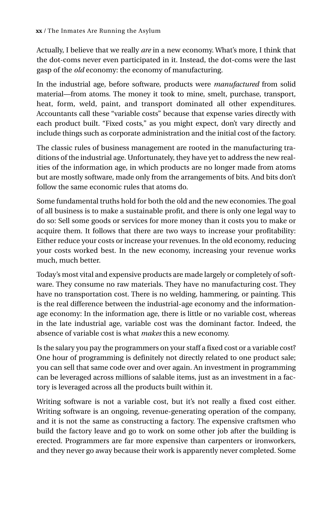Actually, I believe that we really *are* in a new economy. What's more, I think that the dot-coms never even participated in it. Instead, the dot-coms were the last gasp of the *old* economy: the economy of manufacturing.

In the industrial age, before software, products were *manufactured* from solid material—from atoms. The money it took to mine, smelt, purchase, transport, heat, form, weld, paint, and transport dominated all other expenditures. Accountants call these "variable costs" because that expense varies directly with each product built. "Fixed costs," as you might expect, don't vary directly and include things such as corporate administration and the initial cost of the factory.

The classic rules of business management are rooted in the manufacturing traditions of the industrial age. Unfortunately, they have yet to address the new realities of the information age, in which products are no longer made from atoms but are mostly software, made only from the arrangements of bits. And bits don't follow the same economic rules that atoms do.

Some fundamental truths hold for both the old and the new economies. The goal of all business is to make a sustainable profit, and there is only one legal way to do so: Sell some goods or services for more money than it costs you to make or acquire them. It follows that there are two ways to increase your profitability: Either reduce your costs or increase your revenues. In the old economy, reducing your costs worked best. In the new economy, increasing your revenue works much, much better.

Today's most vital and expensive products are made largely or completely of software. They consume no raw materials. They have no manufacturing cost. They have no transportation cost. There is no welding, hammering, or painting. This is the real difference between the industrial-age economy and the informationage economy: In the information age, there is little or no variable cost, whereas in the late industrial age, variable cost was the dominant factor. Indeed, the absence of variable cost is what *makes* this a new economy.

Is the salary you pay the programmers on your staff a fixed cost or a variable cost? One hour of programming is definitely not directly related to one product sale; you can sell that same code over and over again. An investment in programming can be leveraged across millions of salable items, just as an investment in a factory is leveraged across all the products built within it.

Writing software is not a variable cost, but it's not really a fixed cost either. Writing software is an ongoing, revenue-generating operation of the company, and it is not the same as constructing a factory. The expensive craftsmen who build the factory leave and go to work on some other job after the building is erected. Programmers are far more expensive than carpenters or ironworkers, and they never go away because their work is apparently never completed. Some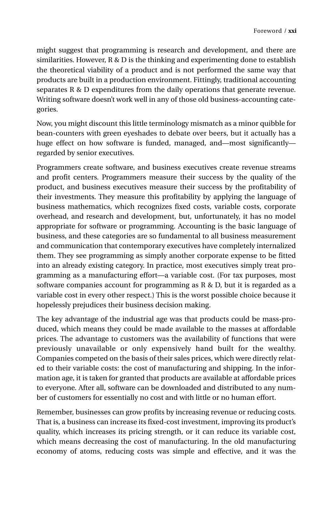might suggest that programming is research and development, and there are similarities. However, R & D is the thinking and experimenting done to establish the theoretical viability of a product and is not performed the same way that products are built in a production environment. Fittingly, traditional accounting separates R & D expenditures from the daily operations that generate revenue. Writing software doesn't work well in any of those old business-accounting categories.

Now, you might discount this little terminology mismatch as a minor quibble for bean-counters with green eyeshades to debate over beers, but it actually has a huge effect on how software is funded, managed, and—most significantly regarded by senior executives.

Programmers create software, and business executives create revenue streams and profit centers. Programmers measure their success by the quality of the product, and business executives measure their success by the profitability of their investments. They measure this profitability by applying the language of business mathematics, which recognizes fixed costs, variable costs, corporate overhead, and research and development, but, unfortunately, it has no model appropriate for software or programming. Accounting is the basic language of business, and these categories are so fundamental to all business measurement and communication that contemporary executives have completely internalized them. They see programming as simply another corporate expense to be fitted into an already existing category. In practice, most executives simply treat programming as a manufacturing effort—a variable cost. (For tax purposes, most software companies account for programming as R & D, but it is regarded as a variable cost in every other respect.) This is the worst possible choice because it hopelessly prejudices their business decision making.

The key advantage of the industrial age was that products could be mass-produced, which means they could be made available to the masses at affordable prices. The advantage to customers was the availability of functions that were previously unavailable or only expensively hand built for the wealthy. Companies competed on the basis of their sales prices, which were directly related to their variable costs: the cost of manufacturing and shipping. In the information age, it is taken for granted that products are available at affordable prices to everyone. After all, software can be downloaded and distributed to any number of customers for essentially no cost and with little or no human effort.

Remember, businesses can grow profits by increasing revenue or reducing costs. That is, a business can increase its fixed-cost investment, improving its product's quality, which increases its pricing strength, or it can reduce its variable cost, which means decreasing the cost of manufacturing. In the old manufacturing economy of atoms, reducing costs was simple and effective, and it was the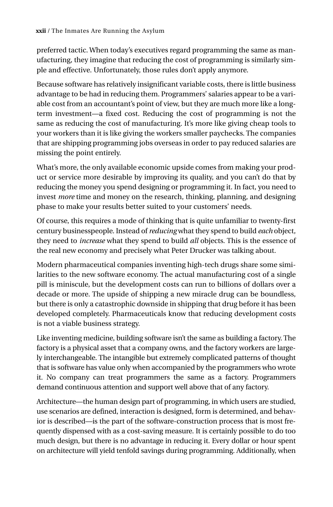preferred tactic. When today's executives regard programming the same as manufacturing, they imagine that reducing the cost of programming is similarly simple and effective. Unfortunately, those rules don't apply anymore.

Because software has relatively insignificant variable costs, there is little business advantage to be had in reducing them. Programmers' salaries appear to be a variable cost from an accountant's point of view, but they are much more like a longterm investment—a fixed cost. Reducing the cost of programming is not the same as reducing the cost of manufacturing. It's more like giving cheap tools to your workers than it is like giving the workers smaller paychecks. The companies that are shipping programming jobs overseas in order to pay reduced salaries are missing the point entirely.

What's more, the only available economic upside comes from making your product or service more desirable by improving its quality, and you can't do that by reducing the money you spend designing or programming it. In fact, you need to invest *more* time and money on the research, thinking, planning, and designing phase to make your results better suited to your customers' needs.

Of course, this requires a mode of thinking that is quite unfamiliar to twenty-first century businesspeople. Instead of *reducing* what they spend to build *each* object, they need to *increase* what they spend to build *all* objects. This is the essence of the real new economy and precisely what Peter Drucker was talking about.

Modern pharmaceutical companies inventing high-tech drugs share some similarities to the new software economy. The actual manufacturing cost of a single pill is miniscule, but the development costs can run to billions of dollars over a decade or more. The upside of shipping a new miracle drug can be boundless, but there is only a catastrophic downside in shipping that drug before it has been developed completely. Pharmaceuticals know that reducing development costs is not a viable business strategy.

Like inventing medicine, building software isn't the same as building a factory. The factory is a physical asset that a company owns, and the factory workers are largely interchangeable. The intangible but extremely complicated patterns of thought that is software has value only when accompanied by the programmers who wrote it. No company can treat programmers the same as a factory. Programmers demand continuous attention and support well above that of any factory.

Architecture—the human design part of programming, in which users are studied, use scenarios are defined, interaction is designed, form is determined, and behavior is described—is the part of the software-construction process that is most frequently dispensed with as a cost-saving measure. It is certainly possible to do too much design, but there is no advantage in reducing it. Every dollar or hour spent on architecture will yield tenfold savings during programming. Additionally, when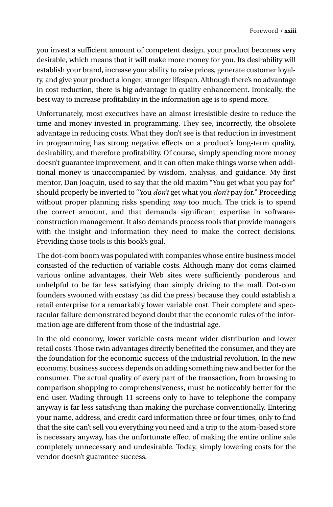you invest a sufficient amount of competent design, your product becomes very desirable, which means that it will make more money for you. Its desirability will establish your brand, increase your ability to raise prices, generate customer loyalty, and give your product a longer, stronger lifespan. Although there's no advantage in cost reduction, there is big advantage in quality enhancement. Ironically, the best way to increase profitability in the information age is to spend more.

Unfortunately, most executives have an almost irresistible desire to reduce the time and money invested in programming. They see, incorrectly, the obsolete advantage in reducing costs. What they don't see is that reduction in investment in programming has strong negative effects on a product's long-term quality, desirability, and therefore profitability. Of course, simply spending more money doesn't guarantee improvement, and it can often make things worse when additional money is unaccompanied by wisdom, analysis, and guidance. My first mentor, Dan Joaquin, used to say that the old maxim "You get what you pay for" should properly be inverted to "You *don't* get what you *don't* pay for." Proceeding without proper planning risks spending *way* too much. The trick is to spend the correct amount, and that demands significant expertise in softwareconstruction management. It also demands process tools that provide managers with the insight and information they need to make the correct decisions. Providing those tools is this book's goal.

The dot-com boom was populated with companies whose entire business model consisted of the reduction of variable costs. Although many dot-coms claimed various online advantages, their Web sites were sufficiently ponderous and unhelpful to be far less satisfying than simply driving to the mall. Dot-com founders swooned with ecstasy (as did the press) because they could establish a retail enterprise for a remarkably lower variable cost. Their complete and spectacular failure demonstrated beyond doubt that the economic rules of the information age are different from those of the industrial age.

In the old economy, lower variable costs meant wider distribution and lower retail costs. Those twin advantages directly benefited the consumer, and they are the foundation for the economic success of the industrial revolution. In the new economy, business success depends on adding something new and better for the consumer. The actual quality of every part of the transaction, from browsing to comparison shopping to comprehensiveness, must be noticeably better for the end user. Wading through 11 screens only to have to telephone the company anyway is far less satisfying than making the purchase conventionally. Entering your name, address, and credit card information three or four times, only to find that the site can't sell you everything you need and a trip to the atom-based store is necessary anyway, has the unfortunate effect of making the entire online sale completely unnecessary and undesirable. Today, simply lowering costs for the vendor doesn't guarantee success.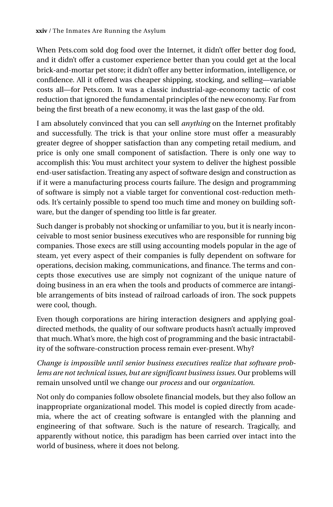When Pets.com sold dog food over the Internet, it didn't offer better dog food, and it didn't offer a customer experience better than you could get at the local brick-and-mortar pet store; it didn't offer any better information, intelligence, or confidence. All it offered was cheaper shipping, stocking, and selling—variable costs all—for Pets.com. It was a classic industrial-age-economy tactic of cost reduction that ignored the fundamental principles of the new economy. Far from being the first breath of a new economy, it was the last gasp of the old.

I am absolutely convinced that you can sell *anything* on the Internet profitably and successfully. The trick is that your online store must offer a measurably greater degree of shopper satisfaction than any competing retail medium, and price is only one small component of satisfaction. There is only one way to accomplish this: You must architect your system to deliver the highest possible end-user satisfaction. Treating any aspect of software design and construction as if it were a manufacturing process courts failure. The design and programming of software is simply not a viable target for conventional cost-reduction methods. It's certainly possible to spend too much time and money on building software, but the danger of spending too little is far greater.

Such danger is probably not shocking or unfamiliar to you, but it is nearly inconceivable to most senior business executives who are responsible for running big companies. Those execs are still using accounting models popular in the age of steam, yet every aspect of their companies is fully dependent on software for operations, decision making, communications, and finance. The terms and concepts those executives use are simply not cognizant of the unique nature of doing business in an era when the tools and products of commerce are intangible arrangements of bits instead of railroad carloads of iron. The sock puppets were cool, though.

Even though corporations are hiring interaction designers and applying goaldirected methods, the quality of our software products hasn't actually improved that much. What's more, the high cost of programming and the basic intractability of the software-construction process remain ever-present. Why?

*Change is impossible until senior business executives realize that software problems are not technical issues, but are significant business issues.* Our problems will remain unsolved until we change our *process* and our *organization.*

Not only do companies follow obsolete financial models, but they also follow an inappropriate organizational model. This model is copied directly from academia, where the act of creating software is entangled with the planning and engineering of that software. Such is the nature of research. Tragically, and apparently without notice, this paradigm has been carried over intact into the world of business, where it does not belong.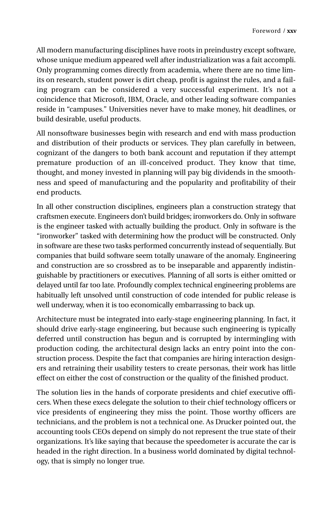All modern manufacturing disciplines have roots in preindustry except software, whose unique medium appeared well after industrialization was a fait accompli. Only programming comes directly from academia, where there are no time limits on research, student power is dirt cheap, profit is against the rules, and a failing program can be considered a very successful experiment. It's not a coincidence that Microsoft, IBM, Oracle, and other leading software companies reside in "campuses." Universities never have to make money, hit deadlines, or build desirable, useful products.

All nonsoftware businesses begin with research and end with mass production and distribution of their products or services. They plan carefully in between, cognizant of the dangers to both bank account and reputation if they attempt premature production of an ill-conceived product. They know that time, thought, and money invested in planning will pay big dividends in the smoothness and speed of manufacturing and the popularity and profitability of their end products.

In all other construction disciplines, engineers plan a construction strategy that craftsmen execute. Engineers don't build bridges; ironworkers do. Only in software is the engineer tasked with actually building the product. Only in software is the "ironworker" tasked with determining how the product will be constructed. Only in software are these two tasks performed concurrently instead of sequentially. But companies that build software seem totally unaware of the anomaly. Engineering and construction are so crossbred as to be inseparable and apparently indistinguishable by practitioners or executives. Planning of all sorts is either omitted or delayed until far too late. Profoundly complex technical engineering problems are habitually left unsolved until construction of code intended for public release is well underway, when it is too economically embarrassing to back up.

Architecture must be integrated into early-stage engineering planning. In fact, it should drive early-stage engineering, but because such engineering is typically deferred until construction has begun and is corrupted by intermingling with production coding, the architectural design lacks an entry point into the construction process. Despite the fact that companies are hiring interaction designers and retraining their usability testers to create personas, their work has little effect on either the cost of construction or the quality of the finished product.

The solution lies in the hands of corporate presidents and chief executive officers. When these execs delegate the solution to their chief technology officers or vice presidents of engineering they miss the point. Those worthy officers are technicians, and the problem is not a technical one. As Drucker pointed out, the accounting tools CEOs depend on simply do not represent the true state of their organizations. It's like saying that because the speedometer is accurate the car is headed in the right direction. In a business world dominated by digital technology, that is simply no longer true.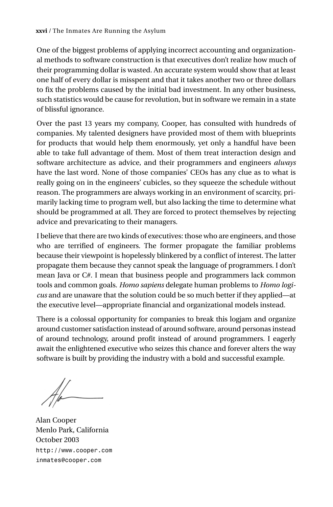#### **xxvi** / The Inmates Are Running the Asylum

One of the biggest problems of applying incorrect accounting and organizational methods to software construction is that executives don't realize how much of their programming dollar is wasted. An accurate system would show that at least one half of every dollar is misspent and that it takes another two or three dollars to fix the problems caused by the initial bad investment. In any other business, such statistics would be cause for revolution, but in software we remain in a state of blissful ignorance.

Over the past 13 years my company, Cooper, has consulted with hundreds of companies. My talented designers have provided most of them with blueprints for products that would help them enormously, yet only a handful have been able to take full advantage of them. Most of them treat interaction design and software architecture as advice, and their programmers and engineers *always* have the last word. None of those companies' CEOs has any clue as to what is really going on in the engineers' cubicles, so they squeeze the schedule without reason. The programmers are always working in an environment of scarcity, primarily lacking time to program well, but also lacking the time to determine what should be programmed at all. They are forced to protect themselves by rejecting advice and prevaricating to their managers.

I believe that there are two kinds of executives: those who are engineers, and those who are terrified of engineers. The former propagate the familiar problems because their viewpoint is hopelessly blinkered by a conflict of interest. The latter propagate them because they cannot speak the language of programmers. I don't mean Java or C#. I mean that business people and programmers lack common tools and common goals. *Homo sapiens* delegate human problems to *Homo logicus* and are unaware that the solution could be so much better if they applied—at the executive level—appropriate financial and organizational models instead.

There is a colossal opportunity for companies to break this logjam and organize around customer satisfaction instead of around software, around personas instead of around technology, around profit instead of around programmers. I eagerly await the enlightened executive who seizes this chance and forever alters the way software is built by providing the industry with a bold and successful example.

Alan Cooper Menlo Park, California October 2003 <http://www.cooper.com> inmates@cooper.com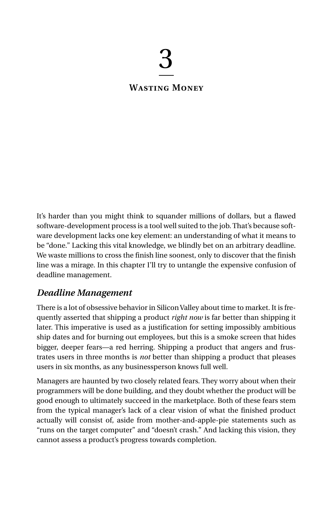# [3](#page-7-0)

#### <span id="page-27-2"></span><span id="page-27-0"></span>**Wasting Money**

<span id="page-27-1"></span>It's harder than you might think to squander millions of dollars, but a flawed software-development process is a tool well suited to the job. That's because software development lacks one key element: an understanding of what it means to be "done." Lacking this vital knowledge, we blindly bet on an arbitrary deadline. We waste millions to cross the finish line soonest, only to discover that the finish line was a mirage. In this chapter I'll try to untangle the expensive confusion of deadline management.

#### *[Deadline Management](#page-7-0)*

There is a lot of obsessive behavior in Silicon Valley about time to market. It is frequently asserted that shipping a product *right now* is far better than shipping it later. This imperative is used as a justification for setting impossibly ambitious ship dates and for burning out employees, but this is a smoke screen that hides bigger, deeper fears—a red herring. Shipping a product that angers and frustrates users in three months is *not* better than shipping a product that pleases users in six months, as any businessperson knows full well.

Managers are haunted by two closely related fears. They worry about when their programmers will be done building, and they doubt whether the product will be good enough to ultimately succeed in the marketplace. Both of these fears stem from the typical manager's lack of a clear vision of what the finished product actually will consist of, aside from mother-and-apple-pie statements such as "runs on the target computer" and "doesn't crash." And lacking this vision, they cannot assess a product's progress towards completion.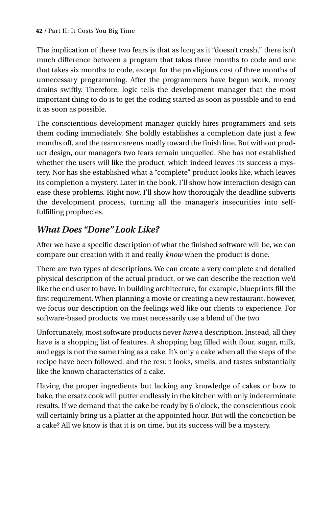<span id="page-28-1"></span><span id="page-28-0"></span>The implication of these two fears is that as long as it "doesn't crash," there isn't much difference between a program that takes three months to code and one that takes six months to code, except for the prodigious cost of three months of unnecessary programming. After the programmers have begun work, money drains swiftly. Therefore, logic tells the development manager that the most important thing to do is to get the coding started as soon as possible and to end it as soon as possible.

The conscientious development manager quickly hires programmers and sets them coding immediately. She boldly establishes a completion date just a few months off, and the team careens madly toward the finish line. But without product design, our manager's two fears remain unquelled. She has not established whether the users will like the product, which indeed leaves its success a mystery. Nor has she established what a "complete" product looks like, which leaves its completion a mystery. Later in the book, I'll show how interaction design can ease these problems. Right now, I'll show how thoroughly the deadline subverts the development process, turning all the manager's insecurities into selffulfilling prophecies.

#### *[What Does "Done" Look Like?](#page-7-0)*

After we have a specific description of what the finished software will be, we can compare our creation with it and really *know* when the product is done.

There are two types of descriptions. We can create a very complete and detailed physical description of the actual product, or we can describe the reaction we'd like the end user to have. In building architecture, for example, blueprints fill the first requirement. When planning a movie or creating a new restaurant, however, we focus our description on the feelings we'd like our clients to experience. For software-based products, we must necessarily use a blend of the two.

Unfortunately, most software products never *have* a description. Instead, all they have is a shopping list of features. A shopping bag filled with flour, sugar, milk, and eggs is not the same thing as a cake. It's only a cake when all the steps of the recipe have been followed, and the result looks, smells, and tastes substantially like the known characteristics of a cake.

Having the proper ingredients but lacking any knowledge of cakes or how to bake, the ersatz cook will putter endlessly in the kitchen with only indeterminate results. If we demand that the cake be ready by 6 o'clock, the conscientious cook will certainly bring us a platter at the appointed hour. But will the concoction be a cake? All we know is that it is on time, but its success will be a mystery.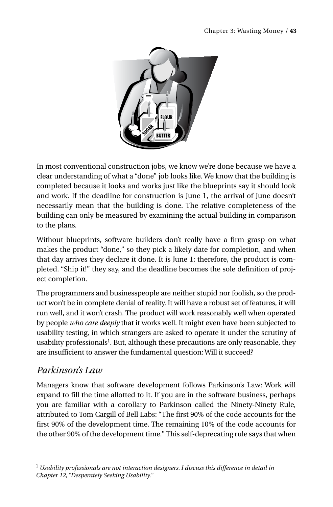<span id="page-29-0"></span>

In most conventional construction jobs, we know we're done because we have a clear understanding of what a "done" job looks like. We know that the building is completed because it looks and works just like the blueprints say it should look and work. If the deadline for construction is June 1, the arrival of June doesn't necessarily mean that the building is done. The relative completeness of the building can only be measured by examining the actual building in comparison to the plans.

Without blueprints, software builders don't really have a firm grasp on what makes the product "done," so they pick a likely date for completion, and when that day arrives they declare it done. It is June 1; therefore, the product is completed. "Ship it!" they say, and the deadline becomes the sole definition of project completion.

The programmers and businesspeople are neither stupid nor foolish, so the product won't be in complete denial of reality. It will have a robust set of features, it will run well, and it won't crash. The product will work reasonably well when operated by people *who care deeply* that it works well. It might even have been subjected to usability testing, in which strangers are asked to operate it under the scrutiny of usability professionals<sup>1</sup>. But, although these precautions are only reasonable, they are insufficient to answer the fundamental question: Will it succeed?

#### *Parkinson's Law*

Managers know that software development follows Parkinson's Law: Work will expand to fill the time allotted to it. If you are in the software business, perhaps you are familiar with a corollary to Parkinson called the Ninety-Ninety Rule, attributed to Tom Cargill of Bell Labs: "The first 90% of the code accounts for the first 90% of the development time. The remaining 10% of the code accounts for the other 90% of the development time." This self-deprecating rule says that when

<sup>1</sup> *Usability professionals are not interaction designers. I discuss this difference in detail in Chapter 12, "Desperately Seeking Usability."*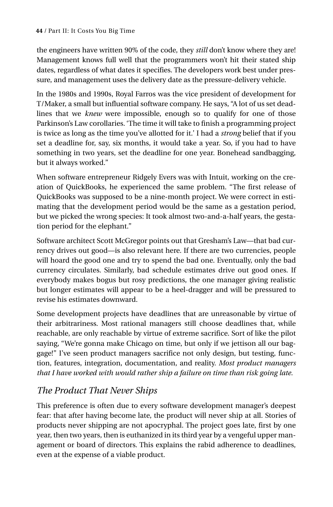#### <span id="page-30-0"></span>**44** / Part II: It Costs You Big Time

the engineers have written 90% of the code, they *still* don't know where they are! Management knows full well that the programmers won't hit their stated ship dates, regardless of what dates it specifies. The developers work best under pressure, and management uses the delivery date as the pressure-delivery vehicle.

In the 1980s and 1990s, Royal Farros was the vice president of development for T/Maker, a small but influential software company. He says, "A lot of us set deadlines that we *knew* were impossible, enough so to qualify for one of those Parkinson's Law corollaries. 'The time it will take to finish a programming project is twice as long as the time you've allotted for it.' I had a *strong* belief that if you set a deadline for, say, six months, it would take a year. So, if you had to have something in two years, set the deadline for one year. Bonehead sandbagging, but it always worked."

When software entrepreneur Ridgely Evers was with Intuit, working on the creation of QuickBooks, he experienced the same problem. "The first release of QuickBooks was supposed to be a nine-month project. We were correct in estimating that the development period would be the same as a gestation period, but we picked the wrong species: It took almost two-and-a-half years, the gestation period for the elephant."

Software architect Scott McGregor points out that Gresham's Law—that bad currency drives out good—is also relevant here. If there are two currencies, people will hoard the good one and try to spend the bad one. Eventually, only the bad currency circulates. Similarly, bad schedule estimates drive out good ones. If everybody makes bogus but rosy predictions, the one manager giving realistic but longer estimates will appear to be a heel-dragger and will be pressured to revise his estimates downward.

Some development projects have deadlines that are unreasonable by virtue of their arbitrariness. Most rational managers still choose deadlines that, while reachable, are only reachable by virtue of extreme sacrifice. Sort of like the pilot saying, "We're gonna make Chicago on time, but only if we jettison all our baggage!" I've seen product managers sacrifice not only design, but testing, function, features, integration, documentation, and reality. *Most product managers that I have worked with would rather ship a failure on time than risk going late.*

#### *The Product That Never Ships*

This preference is often due to every software development manager's deepest fear: that after having become late, the product will never ship at all. Stories of products never shipping are not apocryphal. The project goes late, first by one year, then two years, then is euthanized in its third year by a vengeful upper management or board of directors. This explains the rabid adherence to deadlines, even at the expense of a viable product.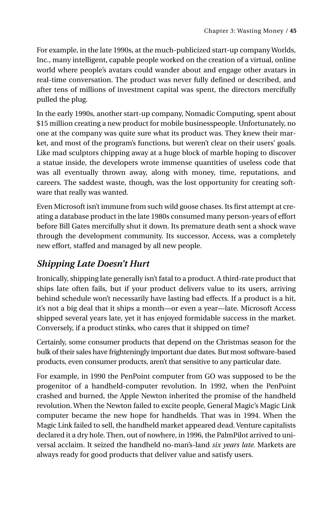<span id="page-31-1"></span>For example, in the late 1990s, at the much-publicized start-up company Worlds, Inc., many intelligent, capable people worked on the creation of a virtual, online world where people's avatars could wander about and engage other avatars in real-time conversation. The product was never fully defined or described, and after tens of millions of investment capital was spent, the directors mercifully pulled the plug.

In the early 1990s, another start-up company, Nomadic Computing, spent about \$15 million creating a new product for mobile businesspeople. Unfortunately, no one at the company was quite sure what its product was. They knew their market, and most of the program's functions, but weren't clear on their users' goals. Like mad sculptors chipping away at a huge block of marble hoping to discover a statue inside, the developers wrote immense quantities of useless code that was all eventually thrown away, along with money, time, reputations, and careers. The saddest waste, though, was the lost opportunity for creating software that really was wanted.

<span id="page-31-0"></span>Even Microsoft isn't immune from such wild goose chases. Its first attempt at creating a database product in the late 1980s consumed many person-years of effort before Bill Gates mercifully shut it down. Its premature death sent a shock wave through the development community. Its successor, Access, was a completely new effort, staffed and managed by all new people.

#### *[Shipping Late Doesn't Hurt](#page-7-0)*

Ironically, shipping late generally isn't fatal to a product. A third-rate product that ships late often fails, but if your product delivers value to its users, arriving behind schedule won't necessarily have lasting bad effects. If a product is a hit, it's not a big deal that it ships a month—or even a year—late. Microsoft Access shipped several years late, yet it has enjoyed formidable success in the market. Conversely, if a product stinks, who cares that it shipped on time?

Certainly, some consumer products that depend on the Christmas season for the bulk of their sales have frighteningly important due dates. But most software-based products, even consumer products, aren't that sensitive to any particular date.

For example, in 1990 the PenPoint computer from GO was supposed to be the progenitor of a handheld-computer revolution. In 1992, when the PenPoint crashed and burned, the Apple Newton inherited the promise of the handheld revolution. When the Newton failed to excite people, General Magic's Magic Link computer became the new hope for handhelds. That was in 1994. When the Magic Link failed to sell, the handheld market appeared dead. Venture capitalists declared it a dry hole. Then, out of nowhere, in 1996, the PalmPilot arrived to universal acclaim. It seized the handheld no-man's-land *six years late*. Markets are always ready for good products that deliver value and satisfy users.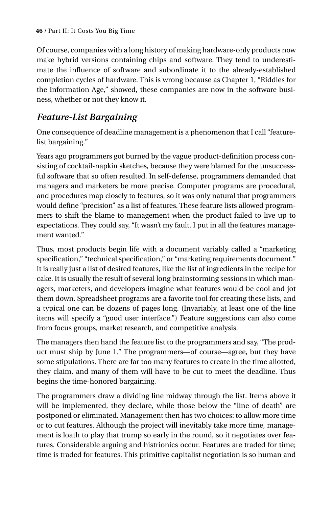<span id="page-32-1"></span><span id="page-32-0"></span>Of course, companies with a long history of making hardware-only products now make hybrid versions containing chips and software. They tend to underestimate the influence of software and subordinate it to the already-established completion cycles of hardware. This is wrong because as Chapter 1, "Riddles for the Information Age," showed, these companies are now in the software business, whether or not they know it.

#### *[Feature-List Bargaining](#page-7-0)*

One consequence of deadline management is a phenomenon that I call "featurelist bargaining."

Years ago programmers got burned by the vague product-definition process consisting of cocktail-napkin sketches, because they were blamed for the unsuccessful software that so often resulted. In self-defense, programmers demanded that managers and marketers be more precise. Computer programs are procedural, and procedures map closely to features, so it was only natural that programmers would define "precision" as a list of features. These feature lists allowed programmers to shift the blame to management when the product failed to live up to expectations. They could say, "It wasn't my fault. I put in all the features management wanted."

Thus, most products begin life with a document variably called a "marketing specification," "technical specification," or "marketing requirements document." It is really just a list of desired features, like the list of ingredients in the recipe for cake. It is usually the result of several long brainstorming sessions in which managers, marketers, and developers imagine what features would be cool and jot them down. Spreadsheet programs are a favorite tool for creating these lists, and a typical one can be dozens of pages long. (Invariably, at least one of the line items will specify a "good user interface.") Feature suggestions can also come from focus groups, market research, and competitive analysis.

The managers then hand the feature list to the programmers and say, "The product must ship by June 1." The programmers—of course—agree, but they have some stipulations. There are far too many features to create in the time allotted, they claim, and many of them will have to be cut to meet the deadline. Thus begins the time-honored bargaining.

The programmers draw a dividing line midway through the list. Items above it will be implemented, they declare, while those below the "line of death" are postponed or eliminated. Management then has two choices: to allow more time or to cut features. Although the project will inevitably take more time, management is loath to play that trump so early in the round, so it negotiates over features. Considerable arguing and histrionics occur. Features are traded for time; time is traded for features. This primitive capitalist negotiation is so human and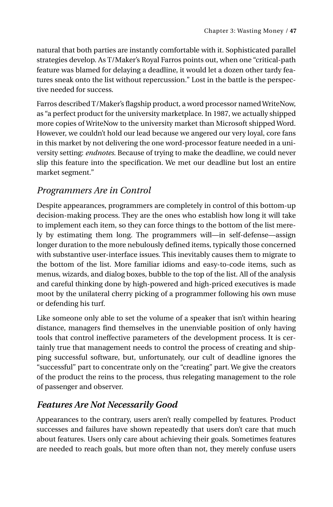<span id="page-33-1"></span>natural that both parties are instantly comfortable with it. Sophisticated parallel strategies develop. As T/Maker's Royal Farros points out, when one "critical-path feature was blamed for delaying a deadline, it would let a dozen other tardy features sneak onto the list without repercussion." Lost in the battle is the perspective needed for success.

Farros described T/Maker's flagship product, a word processor named WriteNow, as "a perfect product for the university marketplace. In 1987, we actually shipped more copies of WriteNow to the university market than Microsoft shipped Word. However, we couldn't hold our lead because we angered our very loyal, core fans in this market by not delivering the one word-processor feature needed in a university setting: *endnotes*. Because of trying to make the deadline, we could never slip this feature into the specification. We met our deadline but lost an entire market segment."

#### <span id="page-33-0"></span>*Programmers Are in Control*

Despite appearances, programmers are completely in control of this bottom-up decision-making process. They are the ones who establish how long it will take to implement each item, so they can force things to the bottom of the list merely by estimating them long. The programmers will—in self-defense—assign longer duration to the more nebulously defined items, typically those concerned with substantive user-interface issues. This inevitably causes them to migrate to the bottom of the list. More familiar idioms and easy-to-code items, such as menus, wizards, and dialog boxes, bubble to the top of the list. All of the analysis and careful thinking done by high-powered and high-priced executives is made moot by the unilateral cherry picking of a programmer following his own muse or defending his turf.

Like someone only able to set the volume of a speaker that isn't within hearing distance, managers find themselves in the unenviable position of only having tools that control ineffective parameters of the development process. It is certainly true that management needs to control the process of creating and shipping successful software, but, unfortunately, our cult of deadline ignores the "successful" part to concentrate only on the "creating" part. We give the creators of the product the reins to the process, thus relegating management to the role of passenger and observer.

#### *[Features Are Not Necessarily Good](#page-7-0)*

Appearances to the contrary, users aren't really compelled by features. Product successes and failures have shown repeatedly that users don't care that much about features. Users only care about achieving their goals. Sometimes features are needed to reach goals, but more often than not, they merely confuse users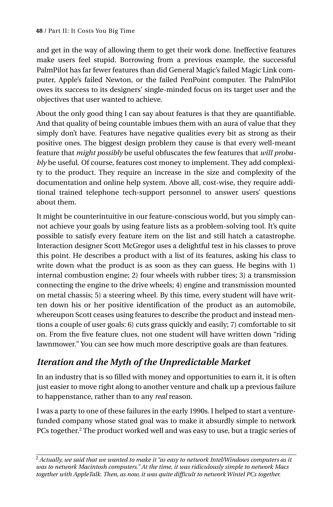<span id="page-34-1"></span>and get in the way of allowing them to get their work done. Ineffective features make users feel stupid. Borrowing from a previous example, the successful PalmPilot has far fewer features than did General Magic's failed Magic Link computer, Apple's failed Newton, or the failed PenPoint computer. The PalmPilot owes its success to its designers' single-minded focus on its target user and the objectives that user wanted to achieve.

About the only good thing I can say about features is that they are quantifiable. And that quality of being countable imbues them with an aura of value that they simply don't have. Features have negative qualities every bit as strong as their positive ones. The biggest design problem they cause is that every well-meant feature that *might possibly* be useful obfuscates the few features that *will probably* be useful. Of course, features cost money to implement. They add complexity to the product. They require an increase in the size and complexity of the documentation and online help system. Above all, cost-wise, they require additional trained telephone tech-support personnel to answer users' questions about them.

<span id="page-34-0"></span>It might be counterintuitive in our feature-conscious world, but you simply cannot achieve your goals by using feature lists as a problem-solving tool. It's quite possible to satisfy every feature item on the list and still hatch a catastrophe. Interaction designer Scott McGregor uses a delightful test in his classes to prove this point. He describes a product with a list of its features, asking his class to write down what the product is as soon as they can guess. He begins with 1) internal combustion engine; 2) four wheels with rubber tires; 3) a transmission connecting the engine to the drive wheels; 4) engine and transmission mounted on metal chassis; 5) a steering wheel. By this time, every student will have written down his or her positive identification of the product as an automobile, whereupon Scott ceases using features to describe the product and instead mentions a couple of user goals: 6) cuts grass quickly and easily; 7) comfortable to sit on. From the five feature clues, not one student will have written down "riding lawnmower." You can see how much more descriptive goals are than features.

#### *[Iteration and the Myth of the Unpredictable Market](#page-7-0)*

In an industry that is so filled with money and opportunities to earn it, it is often just easier to move right along to another venture and chalk up a previous failure to happenstance, rather than to any *real* reason.

I was a party to one of these failures in the early 1990s. I helped to start a venturefunded company whose stated goal was to make it absurdly simple to network PCs together.<sup>2</sup> The product worked well and was easy to use, but a tragic series of

<sup>2</sup> *Actually, we said that we wanted to make it "as easy to network Intel/Windows computers as it was to network Macintosh computers." At the time, it was ridiculously simple to network Macs together with AppleTalk. Then, as now, it was quite difficult to network Wintel PCs together.*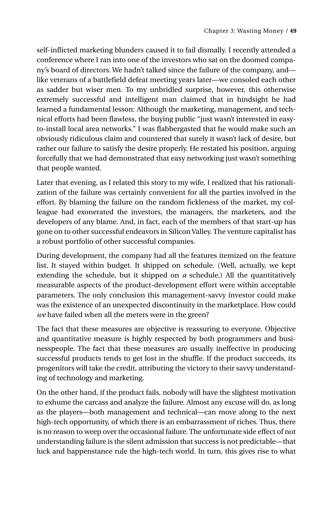<span id="page-35-0"></span>self-inflicted marketing blunders caused it to fail dismally. I recently attended a conference where I ran into one of the investors who sat on the doomed company's board of directors. We hadn't talked since the failure of the company, and like veterans of a battlefield defeat meeting years later—we consoled each other as sadder but wiser men. To my unbridled surprise, however, this otherwise extremely successful and intelligent man claimed that in hindsight he had learned a fundamental lesson: Although the marketing, management, and technical efforts had been flawless, the buying public "just wasn't interested in easyto-install local area networks." I was flabbergasted that he would make such an obviously ridiculous claim and countered that surely it wasn't lack of desire, but rather our failure to satisfy the desire properly. He restated his position, arguing forcefully that we had demonstrated that easy networking just wasn't something that people wanted.

Later that evening, as I related this story to my wife, I realized that his rationalization of the failure was certainly convenient for all the parties involved in the effort. By blaming the failure on the random fickleness of the market, my colleague had exonerated the investors, the managers, the marketers, and the developers of any blame. And, in fact, each of the members of that start-up has gone on to other successful endeavors in Silicon Valley. The venture capitalist has a robust portfolio of other successful companies.

During development, the company had all the features itemized on the feature list. It stayed within budget. It shipped on schedule. (Well, actually, we kept extending the schedule, but it shipped on *a* schedule.) All the quantitatively measurable aspects of the product-development effort were within acceptable parameters. The only conclusion this management-savvy investor could make was the existence of an unexpected discontinuity in the marketplace. How could *we* have failed when all the meters were in the green?

The fact that these measures are objective is reassuring to everyone. Objective and quantitative measure is highly respected by both programmers and businesspeople. The fact that these measures are usually ineffective in producing successful products tends to get lost in the shuffle. If the product succeeds, its progenitors will take the credit, attributing the victory to their savvy understanding of technology and marketing.

On the other hand, if the product fails, nobody will have the slightest motivation to exhume the carcass and analyze the failure. Almost any excuse will do, as long as the players—both management and technical—can move along to the next high-tech opportunity, of which there is an embarrassment of riches. Thus, there is no reason to weep over the occasional failure. The unfortunate side effect of not understanding failure is the silent admission that success is not predictable—that luck and happenstance rule the high-tech world. In turn, this gives rise to what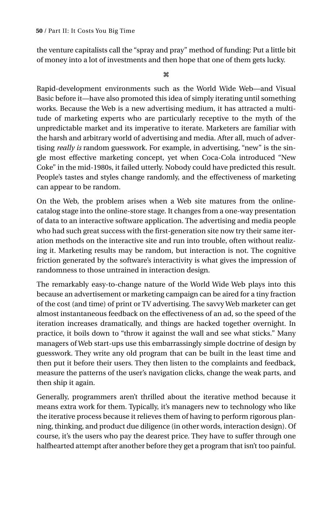<span id="page-36-0"></span>the venture capitalists call the "spray and pray" method of funding: Put a little bit of money into a lot of investments and then hope that one of them gets lucky.

x

Rapid-development environments such as the World Wide Web—and Visual Basic before it—have also promoted this idea of simply iterating until something works. Because the Web is a new advertising medium, it has attracted a multitude of marketing experts who are particularly receptive to the myth of the unpredictable market and its imperative to iterate. Marketers are familiar with the harsh and arbitrary world of advertising and media. After all, much of advertising *really is* random guesswork. For example, in advertising, "new" is the single most effective marketing concept, yet when Coca-Cola introduced "New Coke" in the mid-1980s, it failed utterly. Nobody could have predicted this result. People's tastes and styles change randomly, and the effectiveness of marketing can appear to be random.

On the Web, the problem arises when a Web site matures from the onlinecatalog stage into the online-store stage. It changes from a one-way presentation of data to an interactive software application. The advertising and media people who had such great success with the first-generation site now try their same iteration methods on the interactive site and run into trouble, often without realizing it. Marketing results may be random, but interaction is not. The cognitive friction generated by the software's interactivity is what gives the impression of randomness to those untrained in interaction design.

The remarkably easy-to-change nature of the World Wide Web plays into this because an advertisement or marketing campaign can be aired for a tiny fraction of the cost (and time) of print or TV advertising. The savvy Web marketer can get almost instantaneous feedback on the effectiveness of an ad, so the speed of the iteration increases dramatically, and things are hacked together overnight. In practice, it boils down to "throw it against the wall and see what sticks." Many managers of Web start-ups use this embarrassingly simple doctrine of design by guesswork. They write any old program that can be built in the least time and then put it before their users. They then listen to the complaints and feedback, measure the patterns of the user's navigation clicks, change the weak parts, and then ship it again.

Generally, programmers aren't thrilled about the iterative method because it means extra work for them. Typically, it's managers new to technology who like the iterative process because it relieves them of having to perform rigorous planning, thinking, and product due diligence (in other words, interaction design). Of course, it's the users who pay the dearest price. They have to suffer through one halfhearted attempt after another before they get a program that isn't too painful.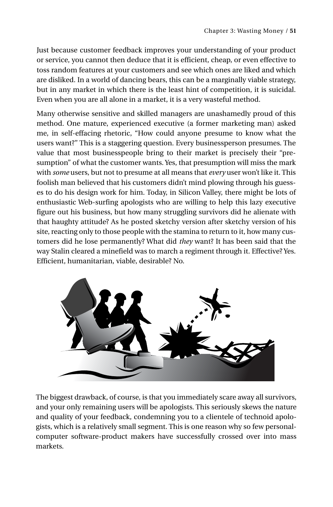Just because customer feedback improves your understanding of your product or service, you cannot then deduce that it is efficient, cheap, or even effective to toss random features at your customers and see which ones are liked and which are disliked. In a world of dancing bears, this can be a marginally viable strategy, but in any market in which there is the least hint of competition, it is suicidal. Even when you are all alone in a market, it is a very wasteful method.

Many otherwise sensitive and skilled managers are unashamedly proud of this method. One mature, experienced executive (a former marketing man) asked me, in self-effacing rhetoric, "How could anyone presume to know what the users want?" This is a staggering question. Every businessperson presumes. The value that most businesspeople bring to their market is precisely their "presumption" of what the customer wants. Yes, that presumption will miss the mark with *some* users, but not to presume at all means that *every* user won't like it. This foolish man believed that his customers didn't mind plowing through his guesses to do his design work for him. Today, in Silicon Valley, there might be lots of enthusiastic Web-surfing apologists who are willing to help this lazy executive figure out his business, but how many struggling survivors did he alienate with that haughty attitude? As he posted sketchy version after sketchy version of his site, reacting only to those people with the stamina to return to it, how many customers did he lose permanently? What did *they* want? It has been said that the way Stalin cleared a minefield was to march a regiment through it. Effective? Yes. Efficient, humanitarian, viable, desirable? No.



The biggest drawback, of course, is that you immediately scare away all survivors, and your only remaining users will be apologists. This seriously skews the nature and quality of your feedback, condemning you to a clientele of technoid apologists, which is a relatively small segment. This is one reason why so few personalcomputer software-product makers have successfully crossed over into mass markets.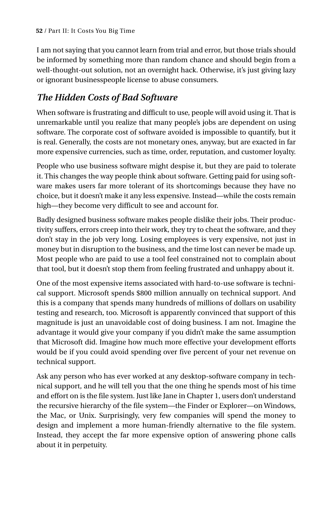<span id="page-38-1"></span><span id="page-38-0"></span>I am not saying that you cannot learn from trial and error, but those trials should be informed by something more than random chance and should begin from a well-thought-out solution, not an overnight hack. Otherwise, it's just giving lazy or ignorant businesspeople license to abuse consumers.

#### *[The Hidden Costs of Bad Software](#page-7-0)*

When software is frustrating and difficult to use, people will avoid using it. That is unremarkable until you realize that many people's jobs are dependent on using software. The corporate cost of software avoided is impossible to quantify, but it is real. Generally, the costs are not monetary ones, anyway, but are exacted in far more expensive currencies, such as time, order, reputation, and customer loyalty.

People who use business software might despise it, but they are paid to tolerate it. This changes the way people think about software. Getting paid for using software makes users far more tolerant of its shortcomings because they have no choice, but it doesn't make it any less expensive. Instead—while the costs remain high—they become very difficult to see and account for.

Badly designed business software makes people dislike their jobs. Their productivity suffers, errors creep into their work, they try to cheat the software, and they don't stay in the job very long. Losing employees is very expensive, not just in money but in disruption to the business, and the time lost can never be made up. Most people who are paid to use a tool feel constrained not to complain about that tool, but it doesn't stop them from feeling frustrated and unhappy about it.

One of the most expensive items associated with hard-to-use software is technical support. Microsoft spends \$800 million annually on technical support. And this is a company that spends many hundreds of millions of dollars on usability testing and research, too. Microsoft is apparently convinced that support of this magnitude is just an unavoidable cost of doing business. I am not. Imagine the advantage it would give your company if you didn't make the same assumption that Microsoft did. Imagine how much more effective your development efforts would be if you could avoid spending over five percent of your net revenue on technical support.

Ask any person who has ever worked at any desktop-software company in technical support, and he will tell you that the one thing he spends most of his time and effort on is the file system. Just like Jane in Chapter 1, users don't understand the recursive hierarchy of the file system—the Finder or Explorer—on Windows, the Mac, or Unix. Surprisingly, very few companies will spend the money to design and implement a more human-friendly alternative to the file system. Instead, they accept the far more expensive option of answering phone calls about it in perpetuity.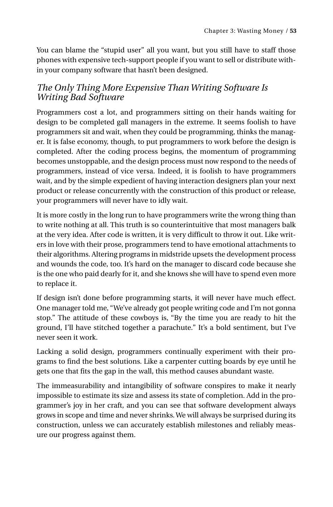<span id="page-39-0"></span>You can blame the "stupid user" all you want, but you still have to staff those phones with expensive tech-support people if you want to sell or distribute within your company software that hasn't been designed.

#### *The Only Thing More Expensive Than Writing Software Is Writing Bad Software*

Programmers cost a lot, and programmers sitting on their hands waiting for design to be completed gall managers in the extreme. It seems foolish to have programmers sit and wait, when they could be programming, thinks the manager. It is false economy, though, to put programmers to work before the design is completed. After the coding process begins, the momentum of programming becomes unstoppable, and the design process must now respond to the needs of programmers, instead of vice versa. Indeed, it is foolish to have programmers wait, and by the simple expedient of having interaction designers plan your next product or release concurrently with the construction of this product or release, your programmers will never have to idly wait.

It is more costly in the long run to have programmers write the wrong thing than to write nothing at all. This truth is so counterintuitive that most managers balk at the very idea. After code is written, it is very difficult to throw it out. Like writers in love with their prose, programmers tend to have emotional attachments to their algorithms. Altering programs in midstride upsets the development process and wounds the code, too. It's hard on the manager to discard code because she is the one who paid dearly for it, and she knows she will have to spend even more to replace it.

If design isn't done before programming starts, it will never have much effect. One manager told me, "We've already got people writing code and I'm not gonna stop." The attitude of these cowboys is, "By the time you are ready to hit the ground, I'll have stitched together a parachute." It's a bold sentiment, but I've never seen it work.

Lacking a solid design, programmers continually experiment with their programs to find the best solutions. Like a carpenter cutting boards by eye until he gets one that fits the gap in the wall, this method causes abundant waste.

The immeasurability and intangibility of software conspires to make it nearly impossible to estimate its size and assess its state of completion. Add in the programmer's joy in her craft, and you can see that software development always grows in scope and time and never shrinks. We will always be surprised during its construction, unless we can accurately establish milestones and reliably measure our progress against them.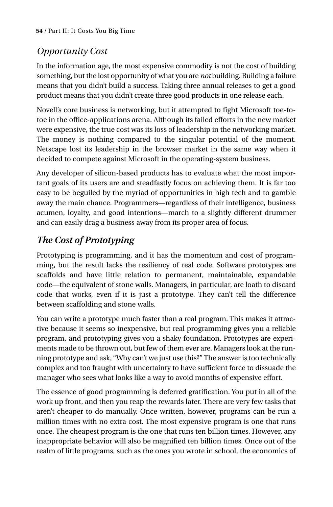#### <span id="page-40-1"></span>*Opportunity Cost*

In the information age, the most expensive commodity is not the cost of building something, but the lost opportunity of what you are *not* building. Building a failure means that you didn't build a success. Taking three annual releases to get a good product means that you didn't create three good products in one release each.

Novell's core business is networking, but it attempted to fight Microsoft toe-totoe in the office-applications arena. Although its failed efforts in the new market were expensive, the true cost was its loss of leadership in the networking market. The money is nothing compared to the singular potential of the moment. Netscape lost its leadership in the browser market in the same way when it decided to compete against Microsoft in the operating-system business.

<span id="page-40-0"></span>Any developer of silicon-based products has to evaluate what the most important goals of its users are and steadfastly focus on achieving them. It is far too easy to be beguiled by the myriad of opportunities in high tech and to gamble away the main chance. Programmers—regardless of their intelligence, business acumen, loyalty, and good intentions—march to a slightly different drummer and can easily drag a business away from its proper area of focus.

#### *[The Cost of Prototyping](#page-7-0)*

Prototyping is programming, and it has the momentum and cost of programming, but the result lacks the resiliency of real code. Software prototypes are scaffolds and have little relation to permanent, maintainable, expandable code—the equivalent of stone walls. Managers, in particular, are loath to discard code that works, even if it is just a prototype. They can't tell the difference between scaffolding and stone walls.

You can write a prototype much faster than a real program. This makes it attractive because it seems so inexpensive, but real programming gives you a reliable program, and prototyping gives you a shaky foundation. Prototypes are experiments made to be thrown out, but few of them ever are. Managers look at the running prototype and ask, "Why can't we just use this?" The answer is too technically complex and too fraught with uncertainty to have sufficient force to dissuade the manager who sees what looks like a way to avoid months of expensive effort.

The essence of good programming is deferred gratification. You put in all of the work up front, and then you reap the rewards later. There are very few tasks that aren't cheaper to do manually. Once written, however, programs can be run a million times with no extra cost. The most expensive program is one that runs once. The cheapest program is the one that runs ten billion times. However, any inappropriate behavior will also be magnified ten billion times. Once out of the realm of little programs, such as the ones you wrote in school, the economics of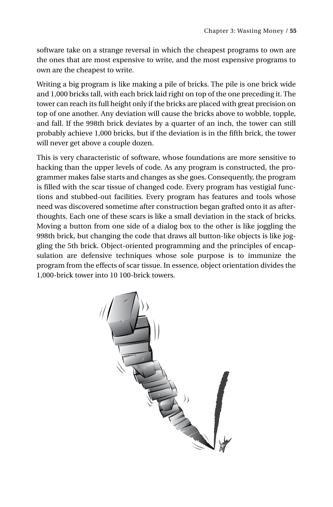<span id="page-41-0"></span>software take on a strange reversal in which the cheapest programs to own are the ones that are most expensive to write, and the most expensive programs to own are the cheapest to write.

Writing a big program is like making a pile of bricks. The pile is one brick wide and 1,000 bricks tall, with each brick laid right on top of the one preceding it. The tower can reach its full height only if the bricks are placed with great precision on top of one another. Any deviation will cause the bricks above to wobble, topple, and fall. If the 998th brick deviates by a quarter of an inch, the tower can still probably achieve 1,000 bricks, but if the deviation is in the fifth brick, the tower will never get above a couple dozen.

This is very characteristic of software, whose foundations are more sensitive to hacking than the upper levels of code. As any program is constructed, the programmer makes false starts and changes as she goes. Consequently, the program is filled with the scar tissue of changed code. Every program has vestigial functions and stubbed-out facilities. Every program has features and tools whose need was discovered sometime after construction began grafted onto it as afterthoughts. Each one of these scars is like a small deviation in the stack of bricks. Moving a button from one side of a dialog box to the other is like joggling the 998th brick, but changing the code that draws all button-like objects is like joggling the 5th brick. Object-oriented programming and the principles of encapsulation are defensive techniques whose sole purpose is to immunize the program from the effects of scar tissue. In essence, object orientation divides the 1,000-brick tower into 10 100-brick towers.

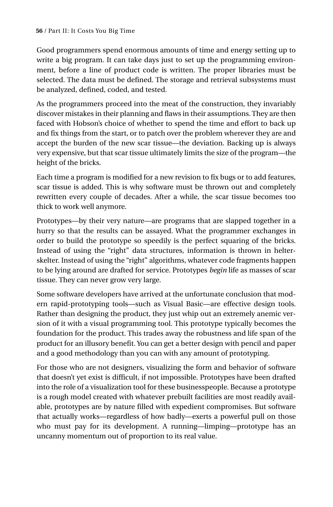<span id="page-42-0"></span>Good programmers spend enormous amounts of time and energy setting up to write a big program. It can take days just to set up the programming environment, before a line of product code is written. The proper libraries must be selected. The data must be defined. The storage and retrieval subsystems must be analyzed, defined, coded, and tested.

As the programmers proceed into the meat of the construction, they invariably discover mistakes in their planning and flaws in their assumptions. They are then faced with Hobson's choice of whether to spend the time and effort to back up and fix things from the start, or to patch over the problem wherever they are and accept the burden of the new scar tissue—the deviation. Backing up is always very expensive, but that scar tissue ultimately limits the size of the program—the height of the bricks.

Each time a program is modified for a new revision to fix bugs or to add features, scar tissue is added. This is why software must be thrown out and completely rewritten every couple of decades. After a while, the scar tissue becomes too thick to work well anymore.

Prototypes—by their very nature—are programs that are slapped together in a hurry so that the results can be assayed. What the programmer exchanges in order to build the prototype so speedily is the perfect squaring of the bricks. Instead of using the "right" data structures, information is thrown in helterskelter. Instead of using the "right" algorithms, whatever code fragments happen to be lying around are drafted for service. Prototypes *begin* life as masses of scar tissue. They can never grow very large.

Some software developers have arrived at the unfortunate conclusion that modern rapid-prototyping tools—such as Visual Basic—are effective design tools. Rather than designing the product, they just whip out an extremely anemic version of it with a visual programming tool. This prototype typically becomes the foundation for the product. This trades away the robustness and life span of the product for an illusory benefit. You can get a better design with pencil and paper and a good methodology than you can with any amount of prototyping.

For those who are not designers, visualizing the form and behavior of software that doesn't yet exist is difficult, if not impossible. Prototypes have been drafted into the role of a visualization tool for these businesspeople. Because a prototype is a rough model created with whatever prebuilt facilities are most readily available, prototypes are by nature filled with expedient compromises. But software that actually works—regardless of how badly—exerts a powerful pull on those who must pay for its development. A running—limping—prototype has an uncanny momentum out of proportion to its real value.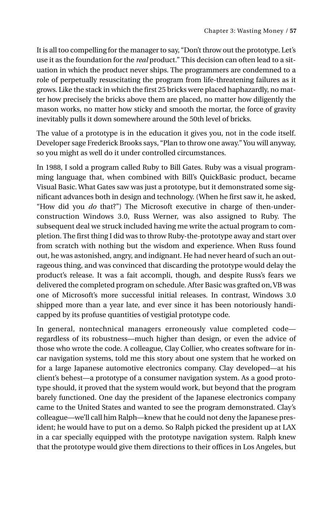<span id="page-43-0"></span>It is all too compelling for the manager to say, "Don't throw out the prototype. Let's use it as the foundation for the *real* product." This decision can often lead to a situation in which the product never ships. The programmers are condemned to a role of perpetually resuscitating the program from life-threatening failures as it grows. Like the stack in which the first 25 bricks were placed haphazardly, no matter how precisely the bricks above them are placed, no matter how diligently the mason works, no matter how sticky and smooth the mortar, the force of gravity inevitably pulls it down somewhere around the 50th level of bricks.

The value of a prototype is in the education it gives you, not in the code itself. Developer sage Frederick Brooks says, "Plan to throw one away." You will anyway, so you might as well do it under controlled circumstances.

In 1988, I sold a program called Ruby to Bill Gates. Ruby was a visual programming language that, when combined with Bill's QuickBasic product, became Visual Basic. What Gates saw was just a prototype, but it demonstrated some significant advances both in design and technology. (When he first saw it, he asked, "How did you *do* that?") The Microsoft executive in charge of then-underconstruction Windows 3.0, Russ Werner, was also assigned to Ruby. The subsequent deal we struck included having me write the actual program to completion. The first thing I did was to throw Ruby-the-prototype away and start over from scratch with nothing but the wisdom and experience. When Russ found out, he was astonished, angry, and indignant. He had never heard of such an outrageous thing, and was convinced that discarding the prototype would delay the product's release. It was a fait accompli, though, and despite Russ's fears we delivered the completed program on schedule. After Basic was grafted on, VB was one of Microsoft's more successful initial releases. In contrast, Windows 3.0 shipped more than a year late, and ever since it has been notoriously handicapped by its profuse quantities of vestigial prototype code.

In general, nontechnical managers erroneously value completed code regardless of its robustness—much higher than design, or even the advice of those who wrote the code. A colleague, Clay Collier, who creates software for incar navigation systems, told me this story about one system that he worked on for a large Japanese automotive electronics company. Clay developed—at his client's behest—a prototype of a consumer navigation system. As a good prototype should, it proved that the system would work, but beyond that the program barely functioned. One day the president of the Japanese electronics company came to the United States and wanted to see the program demonstrated. Clay's colleague—we'll call him Ralph—knew that he could not deny the Japanese president; he would have to put on a demo. So Ralph picked the president up at LAX in a car specially equipped with the prototype navigation system. Ralph knew that the prototype would give them directions to their offices in Los Angeles, but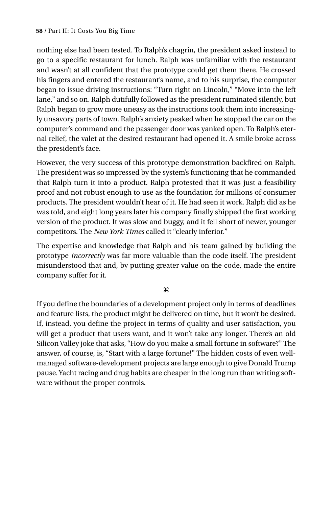#### <span id="page-44-0"></span>**58** / Part II: It Costs You Big Time

nothing else had been tested. To Ralph's chagrin, the president asked instead to go to a specific restaurant for lunch. Ralph was unfamiliar with the restaurant and wasn't at all confident that the prototype could get them there. He crossed his fingers and entered the restaurant's name, and to his surprise, the computer began to issue driving instructions: "Turn right on Lincoln," "Move into the left lane," and so on. Ralph dutifully followed as the president ruminated silently, but Ralph began to grow more uneasy as the instructions took them into increasingly unsavory parts of town. Ralph's anxiety peaked when he stopped the car on the computer's command and the passenger door was yanked open. To Ralph's eternal relief, the valet at the desired restaurant had opened it. A smile broke across the president's face.

However, the very success of this prototype demonstration backfired on Ralph. The president was so impressed by the system's functioning that he commanded that Ralph turn it into a product. Ralph protested that it was just a feasibility proof and not robust enough to use as the foundation for millions of consumer products. The president wouldn't hear of it. He had seen it work. Ralph did as he was told, and eight long years later his company finally shipped the first working version of the product. It was slow and buggy, and it fell short of newer, younger competitors. The *New York Times* called it "clearly inferior."

The expertise and knowledge that Ralph and his team gained by building the prototype *incorrectly* was far more valuable than the code itself. The president misunderstood that and, by putting greater value on the code, made the entire company suffer for it.

x

If you define the boundaries of a development project only in terms of deadlines and feature lists, the product might be delivered on time, but it won't be desired. If, instead, you define the project in terms of quality and user satisfaction, you will get a product that users want, and it won't take any longer. There's an old Silicon Valley joke that asks, "How do you make a small fortune in software?" The answer, of course, is, "Start with a large fortune!" The hidden costs of even wellmanaged software-development projects are large enough to give Donald Trump pause. Yacht racing and drug habits are cheaper in the long run than writing software without the proper controls.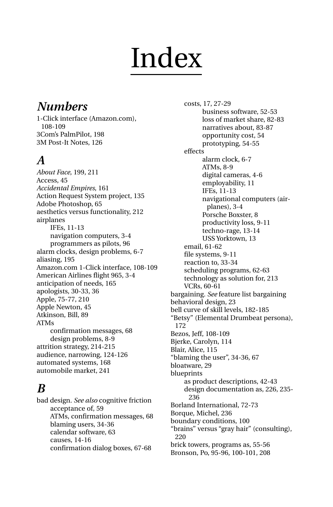# [Index](#page-11-0)

## <span id="page-45-0"></span>*Numbers*

1-Click interface (Amazon.com), [108-109](#page--1-4) 3Com's PalmPilot, [198](#page--1-4) 3M Post-It Notes, [126](#page--1-4)

# *A*

*About Face*, [199,](#page--1-4) [211](#page--1-4) Access, [45](#page-31-1) *Accidental Empires*, [161](#page--1-4) Action Request System project, [135](#page--1-4) Adobe Photoshop, [65](#page--1-4) aesthetics versus functionality, [212](#page--1-4) airplanes IFEs, [11-13](#page--1-4) navigation computers, [3-4](#page--1-4) programmers as pilots, [96](#page--1-4) alarm clocks, design problems, [6-7](#page--1-4) aliasing, [195](#page--1-4) Amazon.com 1-Click interface, [108-109](#page--1-4) American Airlines flight 965, [3-4](#page--1-4) anticipation of needs, [165](#page--1-4) apologists, [30-33, 36](#page--1-4) Apple, [75-77, 210](#page--1-4) Apple Newton, [45](#page-31-1) Atkinson, Bill, [89](#page--1-4) ATMs confirmation messages, [68](#page--1-4) design problems, [8-9](#page--1-4) attrition strategy, [214-215](#page--1-4) audience, narrowing, [124-126](#page--1-4) automated systems, [168](#page--1-4) automobile market, [241](#page--1-4)

# *B*

bad design. *See also* cognitive friction acceptance of, [59](#page--1-4) ATMs, confirmation messages, [68](#page--1-4) blaming users, [34-36](#page--1-4) calendar software, [63](#page--1-4) causes, [14-16](#page--1-4) confirmation dialog boxes, [67-68](#page--1-4)

costs, [17, 27-29](#page--1-4) business software, [52-](#page-38-1)[53](#page-39-0) loss of market share, [82-83](#page--1-4) narratives about, [83-87](#page--1-4) opportunity cost, [54](#page-40-1) prototyping, [54-](#page-40-1)[55](#page-41-0) effects alarm clock, [6-7](#page--1-4) ATMs, [8-9](#page--1-4) digital cameras, [4-6](#page--1-4) employability, [11](#page--1-4) IFEs, [11-13](#page--1-4) navigational computers (airplanes), [3-4](#page--1-4) Porsche Boxster, [8](#page--1-4) productivity loss, [9-11](#page--1-4) techno-rage, [13-14](#page--1-4) USS Yorktown, [13](#page--1-4) email, [61-62](#page--1-4) file systems, [9-11](#page--1-4) reaction to, [33-34](#page--1-4) scheduling programs, [62-63](#page--1-4) technology as solution for, [213](#page--1-4) VCRs, [60-61](#page--1-4) bargaining. *See* feature list bargaining behavioral design, [23](#page--1-4) bell curve of skill levels, [182-185](#page--1-4) "Betsy" (Elemental Drumbeat persona), [172](#page--1-4) Bezos, Jeff, [108-109](#page--1-4) Bjerke, Carolyn, [114](#page--1-4) Blair, Alice, [115](#page--1-4) "blaming the user", [34-36, 67](#page--1-4) bloatware, [29](#page--1-4) blueprints as product descriptions, [42-](#page-28-1)[43](#page-29-0) design documentation as, [226, 235-](#page--1-4) [236](#page--1-4) Borland International, [72-73](#page--1-4) Borque, Michel, [236](#page--1-4) boundary conditions, [100](#page--1-4) "brains" versus "gray hair" (consulting), [220](#page--1-4) brick towers, programs as, [55-](#page-41-0)[56](#page-42-0) Bronson, Po, [95-96, 100-101, 208](#page--1-4)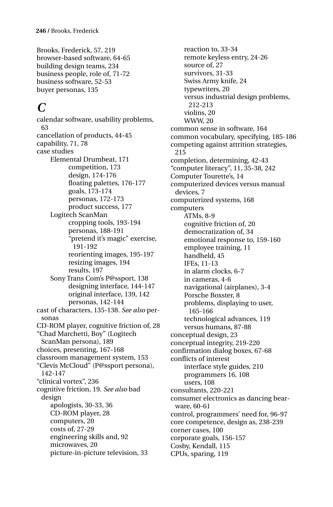Brooks, Frederick, [57,](#page-43-0) [219](#page--1-4) browser-based software, [64-65](#page--1-4) building design teams, [234](#page--1-4) business people, role of, [71-72](#page--1-4) business software, [52-](#page-38-1)[53](#page-39-0) buyer personas, [135](#page--1-4)

# *C*

calendar software, usability problems, [63](#page--1-4) cancellation of products, [44-](#page-30-0)[45](#page-31-1) capability, [71,](#page--1-4) [78](#page--1-4) case studies Elemental Drumbeat, [171](#page--1-4) competition, [173](#page--1-4) design, [174-176](#page--1-4) floating palettes, [176-177](#page--1-4) goals, [173-174](#page--1-4) personas, [172-173](#page--1-4) product success, [177](#page--1-4) Logitech ScanMan cropping tools, [193-194](#page--1-4) personas, [188-191](#page--1-4) "pretend it's magic" exercise, [191-192](#page--1-4) reorienting images, [195-197](#page--1-4) resizing images, [194](#page--1-4) results, [197](#page--1-4) Sony Trans Com's P@ssport, [138](#page--1-4) designing interface, [144-147](#page--1-4) original interface, [139, 142](#page--1-4) personas, [142-144](#page--1-4) cast of characters, [135-138.](#page--1-4) *See also* personas CD-ROM player, cognitive friction of, [28](#page--1-4) "Chad Marchetti, Boy" (Logitech ScanMan persona), [189](#page--1-4) choices, presenting, [167-168](#page--1-4) classroom management system, [153](#page--1-4) "Clevis McCloud" (P@ssport persona), [142-147](#page--1-4) "clinical vortex", [236](#page--1-4) cognitive friction, [19.](#page--1-4) *See also* bad design apologists, [30-33,](#page--1-4) [36](#page--1-4) CD-ROM player, [28](#page--1-4) computers, [20](#page--1-4) costs of, [27-29](#page--1-4) engineering skills and, [92](#page--1-4) microwaves, [20](#page--1-4) picture-in-picture television, [33](#page--1-4)

reaction to, [33-34](#page--1-4) remote keyless entry, [24-26](#page--1-4) source of, [27](#page--1-4) survivors, [31-33](#page--1-4) Swiss Army knife, [24](#page--1-4) typewriters, [20](#page--1-4) versus industrial design problems, [212-213](#page--1-4) violins, [20](#page--1-4) WWW, [20](#page--1-4) common sense in software, [164](#page--1-4) common vocabulary, specifying, [185-186](#page--1-4) competing against attrition strategies, [215](#page--1-4) completion, determining, [42-](#page-28-1)[43](#page-29-0) "computer literacy", [11, 35-38, 242](#page--1-4) Computer Tourette's, [14](#page--1-4) computerized devices versus manual devices, [7](#page--1-4) computerized systems, [168](#page--1-4) computers ATMs, [8-9](#page--1-4) cognitive friction of, [20](#page--1-4) democratization of, [34](#page--1-4) emotional response to, [159-160](#page--1-4) employee training, [11](#page--1-4) handheld, [45](#page-31-1) IFEs, [11-13](#page--1-4) in alarm clocks, [6-7](#page--1-4) in cameras, [4-6](#page--1-4) navigational (airplanes), [3-4](#page--1-4) Porsche Boxster, [8](#page--1-4) problems, displaying to user, [165-166](#page--1-4) technological advances, [119](#page--1-4) versus humans, [87-88](#page--1-4) conceptual design, [23](#page--1-4) conceptual integrity, [219-220](#page--1-4) confirmation dialog boxes, [67-68](#page--1-4) conflicts of interest interface style guides, [210](#page--1-4) programmers [16, 108](#page--1-4) users, [108](#page--1-4) consultants, [220-221](#page--1-4) consumer electronics as dancing bearware, [60-61](#page--1-4) control, programmers' need for, [96-97](#page--1-4) core competence, design as, [238-239](#page--1-4) corner cases, [100](#page--1-4) corporate goals, [156-157](#page--1-4) Cosby, Kendall, [115](#page--1-4) CPUs, sparing, [119](#page--1-4)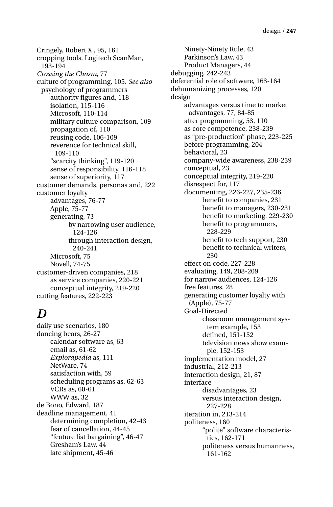Cringely, Robert X., [95, 161](#page--1-4) cropping tools, Logitech ScanMan, [193-194](#page--1-4) *Crossing the Chasm*, [77](#page--1-4) culture of programming, [105.](#page--1-4) *See also* psychology of programmers authority figures and, [118](#page--1-4) isolation, [115-116](#page--1-4) Microsoft, [110-114](#page--1-4) military culture comparison, [109](#page--1-4) propagation of, [110](#page--1-4) reusing code, [106-109](#page--1-4) reverence for technical skill, [109-110](#page--1-4) "scarcity thinking", [119-120](#page--1-4) sense of responsibility, [116-118](#page--1-4) sense of superiority, [117](#page--1-4) customer demands, personas and, [222](#page--1-4) customer loyalty advantages, [76-77](#page--1-4) Apple, [75-77](#page--1-4) generating, [73](#page--1-4) by narrowing user audience, [124-126](#page--1-4) through interaction design, [240-241](#page--1-4) Microsoft, [75](#page--1-4) Novell, [74-75](#page--1-4) customer-driven companies, [218](#page--1-4) as service companies, [220-221](#page--1-4) conceptual integrity, [219-220](#page--1-4) cutting features, [222-223](#page--1-4)

#### *D*

daily use scenarios, [180](#page--1-4) dancing bears, [26-27](#page--1-4) calendar software as, [63](#page--1-4) email as, [61-62](#page--1-4) *Explorapedia* as, [111](#page--1-4) NetWare, [74](#page--1-4) satisfaction with, [59](#page--1-4) scheduling programs as, [62-63](#page--1-4) VCRs as, [60-61](#page--1-4) WWW as, [32](#page--1-4) de Bono, Edward, [187](#page--1-4) deadline management, [41](#page-27-2) determining completion, [42-](#page-28-1)[43](#page-29-0) fear of cancellation, [44-](#page-30-0)[45](#page-31-1) "feature list bargaining", [46-](#page-32-1)[47](#page-33-1) Gresham's Law, [44](#page-30-0) late shipment, [45-](#page-31-1)[46](#page-32-1)

Ninety-Ninety Rule, [43](#page-29-0) Parkinson's Law, [43](#page-29-0) Product Managers, [44](#page-30-0) debugging, [242-243](#page--1-4) deferential role of software, [163-164](#page--1-4) dehumanizing processes, [120](#page--1-4) design advantages versus time to market advantages, [77, 84-85](#page--1-4) after programming, [53,](#page-39-0) [110](#page--1-4) as core competence, [238-239](#page--1-4) as "pre-production" phase, [223-225](#page--1-4) before programming, [204](#page--1-4) behavioral, [23](#page--1-4) company-wide awareness, [238-239](#page--1-4) conceptual, [23](#page--1-4) conceptual integrity, [219-220](#page--1-4) disrespect for, [117](#page--1-4) documenting, [226-227, 235-236](#page--1-4) benefit to companies, [231](#page--1-4) benefit to managers, [230-231](#page--1-4) benefit to marketing, [229-230](#page--1-4) benefit to programmers, [228-229](#page--1-4) benefit to tech support, [230](#page--1-4) benefit to technical writers, [230](#page--1-4) effect on code, [227-228](#page--1-4) evaluating, [149, 208-209](#page--1-4) for narrow audiences, [124-126](#page--1-4) free features, [28](#page--1-4) generating customer loyalty with (Apple), [75-77](#page--1-4) Goal-Directed classroom management system example, [153](#page--1-4) defined, [151-152](#page--1-4) television news show example, [152-153](#page--1-4) implementation model, [27](#page--1-4) industrial, [212-213](#page--1-4) interaction design, [21, 87](#page--1-4) interface disadvantages, [23](#page--1-4) versus interaction design, [227-228](#page--1-4) iteration in, [213-214](#page--1-4) politeness, [160](#page--1-4) "polite" software characteristics, [162-171](#page--1-4) politeness versus humanness, [161-162](#page--1-4)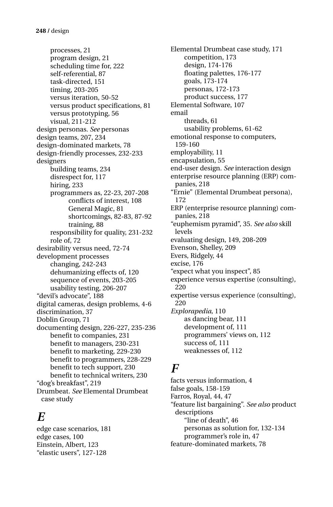processes, [21](#page--1-4) program design, [21](#page--1-4) scheduling time for, [222](#page--1-4) self-referential, [87](#page--1-4) task-directed, [151](#page--1-4) timing, [203-205](#page--1-4) versus iteration, [50-](#page-36-0)[52](#page-38-1) versus product specifications, [81](#page--1-4) versus prototyping, [56](#page-42-0) visual, [211-212](#page--1-4) design personas. *See* personas design teams, [207, 234](#page--1-4) design-dominated markets, [78](#page--1-4) design-friendly processes, [232-233](#page--1-4) designers building teams, [234](#page--1-4) disrespect for, [117](#page--1-4) hiring, [233](#page--1-4) programmers as, [22-23, 207-208](#page--1-4) conflicts of interest, [108](#page--1-4) General Magic, [81](#page--1-4) shortcomings, [82-83, 87-92](#page--1-4) training, [88](#page--1-4) responsibility for quality, [231-232](#page--1-4) role of, [72](#page--1-4) desirability versus need, [72-74](#page--1-4) development processes changing, [242-243](#page--1-4) dehumanizing effects of, [120](#page--1-4) sequence of events, [203-205](#page--1-4) usability testing, [206-207](#page--1-4) "devil's advocate", [188](#page--1-4) digital cameras, design problems, [4-6](#page--1-4) discrimination, [37](#page--1-4) Doblin Group, [71](#page--1-4) documenting design, [226-227,](#page--1-4) [235-236](#page--1-4) benefit to companies, [231](#page--1-4) benefit to managers, [230-231](#page--1-4) benefit to marketing, [229-230](#page--1-4) benefit to programmers, [228-229](#page--1-4) benefit to tech support, [230](#page--1-4) benefit to technical writers, [230](#page--1-4) "dog's breakfast", [219](#page--1-4) Drumbeat. *See* Elemental Drumbeat case study

### *E*

edge case scenarios, [181](#page--1-4) edge cases, [100](#page--1-4) Einstein, Albert, [123](#page--1-4) "elastic users", [127-128](#page--1-4)

Elemental Drumbeat case study, [171](#page--1-4) competition, [173](#page--1-4) design, [174-176](#page--1-4) floating palettes, [176-177](#page--1-4) goals, [173-174](#page--1-4) personas, [172-173](#page--1-4) product success, [177](#page--1-4) Elemental Software, [107](#page--1-4) email threads, [61](#page--1-4) usability problems, [61-62](#page--1-4) emotional response to computers, [159-160](#page--1-4) employability, [11](#page--1-4) encapsulation, [55](#page-41-0) end-user design. *See* interaction design enterprise resource planning (ERP) companies, [218](#page--1-4) "Ernie" (Elemental Drumbeat persona), [172](#page--1-4) ERP (enterprise resource planning) companies, [218](#page--1-4) "euphemism pyramid", [35.](#page--1-4) *See also* skill levels evaluating design, [149, 208-209](#page--1-4) Evenson, Shelley, [209](#page--1-4) Evers, Ridgely, [44](#page-30-0) excise, [176](#page--1-4) "expect what you inspect", [85](#page--1-4) experience versus expertise (consulting), [220](#page--1-4) expertise versus experience (consulting), [220](#page--1-4) *Explorapedia*, [110](#page--1-4) as dancing bear, [111](#page--1-4) development of, [111](#page--1-4) programmers' views on, [112](#page--1-4) success of, [111](#page--1-4) weaknesses of, [112](#page--1-4)

#### *F*

facts versus information, [4](#page--1-4) false goals, [158-159](#page--1-4) Farros, Royal, [44,](#page-30-0) [47](#page-33-1) "feature list bargaining". *See also* product descriptions "line of death", [46](#page-32-1) personas as solution for, [132-134](#page--1-4) programmer's role in, [47](#page-33-1) feature-dominated markets, [78](#page--1-4)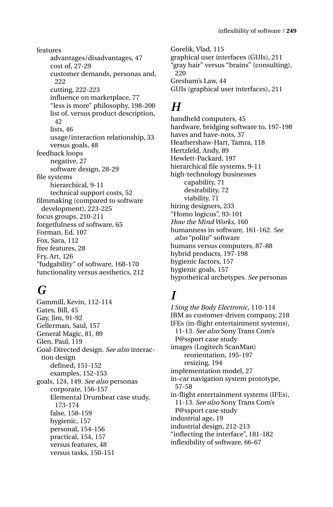features advantages/disadvantages, [47](#page-33-1) cost of, [27-29](#page--1-4) customer demands, personas and, [222](#page--1-4) cutting, [222-223](#page--1-4) influence on marketplace, [77](#page--1-4) "less is more" philosophy, [198-200](#page--1-4) list of, versus product description, [42](#page-28-1) lists, [46](#page-32-1) usage/interaction relationship, [33](#page--1-4) versus goals, [48](#page-34-1) feedback loops negative, [27](#page--1-4) software design, [28-29](#page--1-4) file systems hierarchical, [9-11](#page--1-4) technical support costs, [52](#page-38-1) filmmaking (compared to software development), [223-225](#page--1-4) focus groups, [210-211](#page--1-4) forgetfulness of software, [65](#page--1-4) Forman, Ed, [107](#page--1-4) Fox, Sara, [112](#page--1-4) free features, [28](#page--1-4) Fry, Art, [126](#page--1-4) "fudgability" of software, [168-170](#page--1-4) functionality versus aesthetics, [212](#page--1-4)

# *G*

Gammill, Kevin, [112-114](#page--1-4) Gates, Bill, [45](#page-31-1) Gay, Jim, [91-92](#page--1-4) Gellerman, Saul, [157](#page--1-4) General Magic, [81, 89](#page--1-4) Glen, Paul, [119](#page--1-4) Goal-Directed design. *See also* interaction design defined, [151-152](#page--1-4) examples, [152-153](#page--1-4) goals, [124, 149.](#page--1-4) *See also* personas corporate, [156-157](#page--1-4) Elemental Drumbeat case study, [173-174](#page--1-4) false, [158-159](#page--1-4) hygienic, [157](#page--1-4) personal, [154-156](#page--1-4) practical, [154,](#page--1-4) [157](#page--1-4) versus features, [48](#page-34-1) versus tasks, [150-151](#page--1-4)

Gorelik, Vlad, [115](#page--1-4) graphical user interfaces (GUIs), [211](#page--1-4) "gray hair" versus "brains" (consulting), [220](#page--1-4) Gresham's Law, [44](#page-30-0) GUIs (graphical user interfaces), [211](#page--1-4)

# *H*

handheld computers, [45](#page-31-1) hardware, bridging software to, [197-198](#page--1-4) haves and have-nots, [37](#page--1-4) Heathershaw-Hart, Tamra, [118](#page--1-4) Hertzfeld, Andy, [89](#page--1-4) Hewlett-Packard, [197](#page--1-4) hierarchical file systems, [9-11](#page--1-4) high-technology businesses capability, [71](#page--1-4) desirability, [72](#page--1-4) viability, [71](#page--1-4) hiring designers, [233](#page--1-4) "Homo logicus", [93-101](#page--1-4) *How the Mind Works*, [160](#page--1-4) humanness in software, [161-162.](#page--1-4) *See also* "polite" software humans versus computers, [87-88](#page--1-4) hybrid products, [197-198](#page--1-4) hygienic factors, [157](#page--1-4) hygienic goals, [157](#page--1-4) hypothetical archetypes. *See* personas

# *I*

*I Sing the Body Electronic*, [110-114](#page--1-4) IBM as customer-driven company, [218](#page--1-4) IFEs (in-flight entertainment systems), [11-13.](#page--1-4) *See also* Sony Trans Com's P@ssport case study images (Logitech ScanMan) reorientation, [195-197](#page--1-4) resizing, [194](#page--1-4) implementation model, [27](#page--1-4) in-car navigation system prototype, [57-](#page-43-0)[58](#page-44-0) in-flight entertainment systems (IFEs), [11-13.](#page--1-4) *See also* Sony Trans Com's P@ssport case study industrial age, [19](#page--1-4) industrial design, [212-213](#page--1-4) "inflecting the interface", [181-182](#page--1-4) inflexibility of software, [66-67](#page--1-4)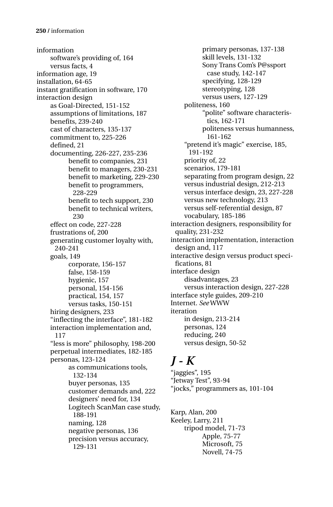information software's providing of, [164](#page--1-4) versus facts, [4](#page--1-4) information age, [19](#page--1-4) installation, [64-65](#page--1-4) instant gratification in software, [170](#page--1-4) interaction design as Goal-Directed, [151-152](#page--1-4) assumptions of limitations, [187](#page--1-4) benefits, [239-240](#page--1-4) cast of characters, [135-137](#page--1-4) commitment to, [225-226](#page--1-4) defined, [21](#page--1-4) documenting, [226-227, 235-236](#page--1-4) benefit to companies, [231](#page--1-4) benefit to managers, [230-231](#page--1-4) benefit to marketing, [229-230](#page--1-4) benefit to programmers, [228-229](#page--1-4) benefit to tech support, [230](#page--1-4) benefit to technical writers, [230](#page--1-4) effect on code, [227-228](#page--1-4) frustrations of, [200](#page--1-4) generating customer loyalty with, [240-241](#page--1-4) goals, [149](#page--1-4) corporate, [156-157](#page--1-4) false, [158-159](#page--1-4) hygienic, [157](#page--1-4) personal, [154-156](#page--1-4) practical, [154, 157](#page--1-4) versus tasks, [150-151](#page--1-4) hiring designers, [233](#page--1-4) "inflecting the interface", [181-182](#page--1-4) interaction implementation and, [117](#page--1-4) "less is more" philosophy, [198-200](#page--1-4) perpetual intermediates, [182-185](#page--1-4) personas, [123-124](#page--1-4) as communications tools, [132-134](#page--1-4) buyer personas, [135](#page--1-4) customer demands and, [222](#page--1-4) designers' need for, [134](#page--1-4) Logitech ScanMan case study, [188-191](#page--1-4) naming, [128](#page--1-4) negative personas, [136](#page--1-4) precision versus accuracy, [129-131](#page--1-4)

primary personas, [137-138](#page--1-4) skill levels, [131-132](#page--1-4) Sony Trans Com's P@ssport case study, [142-147](#page--1-4) specifying, [128-129](#page--1-4) stereotyping, [128](#page--1-4) versus users, [127-129](#page--1-4) politeness, [160](#page--1-4) "polite" software characteristics, [162-171](#page--1-4) politeness versus humanness, [161-162](#page--1-4) "pretend it's magic" exercise, [185,](#page--1-4) [191-192](#page--1-4) priority of, [22](#page--1-4) scenarios, [179-181](#page--1-4) separating from program design, [22](#page--1-4) versus industrial design, [212-213](#page--1-4) versus interface design, [23, 227-228](#page--1-4) versus new technology, [213](#page--1-4) versus self-referential design, [87](#page--1-4) vocabulary, [185-186](#page--1-4) interaction designers, responsibility for quality, [231-232](#page--1-4) interaction implementation, interaction design and, [117](#page--1-4) interactive design versus product specifications, [81](#page--1-4) interface design disadvantages, [23](#page--1-4) versus interaction design, [227-228](#page--1-4) interface style guides, [209-210](#page--1-4) Internet. *See* WWW iteration in design, [213-214](#page--1-4) personas, [124](#page--1-4) reducing, [240](#page--1-4) versus design, [50-](#page-36-0)[52](#page-38-1)

# *J - K*

"jaggies", [195](#page--1-4) "Jetway Test", [93-94](#page--1-4) "jocks," programmers as, [101-104](#page--1-4)

Karp, Alan, [200](#page--1-4) Keeley, Larry, [211](#page--1-4) tripod model, [71-73](#page--1-4) Apple, [75-77](#page--1-4) Microsoft, [75](#page--1-4) Novell, [74-75](#page--1-4)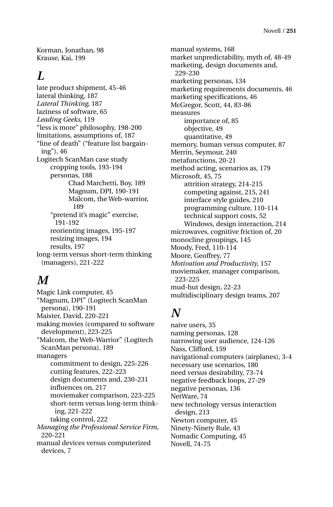Korman, Jonathan, [98](#page--1-4) Krause, Kai, [199](#page--1-4)

# *L*

late product shipment, [45-](#page-31-1)[46](#page-32-1) lateral thinking, [187](#page--1-4) *Lateral Thinking*, [187](#page--1-4) laziness of software, [65](#page--1-4) *Leading Geeks*, [119](#page--1-4) "less is more" philosophy, [198-200](#page--1-4) limitations, assumptions of, [187](#page--1-4) "line of death" ("feature list bargaining"), [46](#page-32-1) Logitech ScanMan case study cropping tools, [193-194](#page--1-4) personas, [188](#page--1-4) Chad Marchetti, Boy, [189](#page--1-4) Magnum, DPI, [190-191](#page--1-4) Malcom, the Web-warrior, [189](#page--1-4) "pretend it's magic" exercise, [191-192](#page--1-4) reorienting images, [195-197](#page--1-4) resizing images, [194](#page--1-4) results, [197](#page--1-4) long-term versus short-term thinking (managers), [221-222](#page--1-4)

# *M*

Magic Link computer, [45](#page-31-1) "Magnum, DPI" (Logitech ScanMan persona), [190-191](#page--1-4) Maister, David, [220-221](#page--1-4) making movies (compared to software development), [223-225](#page--1-4) "Malcom, the Web-Warrior" (Logitech ScanMan persona), [189](#page--1-4) managers commitment to design, [225-226](#page--1-4) cutting features, [222-223](#page--1-4) design documents and, [230-231](#page--1-4) influences on, [217](#page--1-4) moviemaker comparison, [223-225](#page--1-4) short-term versus long-term thinking, [221-222](#page--1-4) taking control, [222](#page--1-4) *Managing the Professional Service Firm*, [220-221](#page--1-4) manual devices versus computerized devices, [7](#page--1-4)

manual systems, [168](#page--1-4) market unpredictability, myth of, [48-](#page-34-1)[49](#page-35-0) marketing, design documents and, [229-230](#page--1-4) marketing personas, [134](#page--1-4) marketing requirements documents, [46](#page-32-1) marketing specifications, [46](#page-32-1) McGregor, Scott, [44,](#page-30-0) [83-86](#page--1-4) measures importance of, [85](#page--1-4) objective, [49](#page-35-0) quantitative, [49](#page-35-0) memory, human versus computer, [87](#page--1-4) Merrin, Seymour, [240](#page--1-4) metafunctions, [20-21](#page--1-4) method acting, scenarios as, [179](#page--1-4) Microsoft, [45,](#page-31-1) [75](#page--1-4) attrition strategy, [214-215](#page--1-4) competing against, [215,](#page--1-4) [241](#page--1-4) interface style guides, [210](#page--1-4) programming culture, [110-114](#page--1-4) technical support costs, [52](#page-38-1) Windows, design interaction, [214](#page--1-4) microwaves, cognitive friction of, [20](#page--1-4) monocline groupings, [145](#page--1-4) Moody, Fred, [110-114](#page--1-4) Moore, Geoffrey, [77](#page--1-4) *Motivation and Productivity*, [157](#page--1-4) moviemaker, manager comparison, [223-225](#page--1-4) mud-hut design, [22-23](#page--1-4) multidisciplinary design teams, [207](#page--1-4)

# *N*

naive users, [35](#page--1-4) naming personas, [128](#page--1-4) narrowing user audience, [124-126](#page--1-4) Nass, Clifford, [159](#page--1-4) navigational computers (airplanes), [3-4](#page--1-4) necessary use scenarios, [180](#page--1-4) need versus desirability, [73-74](#page--1-4) negative feedback loops, [27-29](#page--1-4) negative personas, [136](#page--1-4) NetWare, [74](#page--1-4) new technology versus interaction design, [213](#page--1-4) Newton computer, [45](#page-31-1) Ninety-Ninety Rule, [43](#page-29-0) Nomadic Computing, [45](#page-31-1) Novell, [74-75](#page--1-4)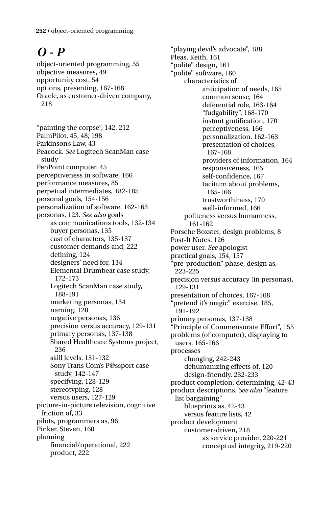# *O - P*

object-oriented programming, [55](#page-41-0) objective measures, [49](#page-35-0) opportunity cost, [54](#page-40-1) options, presenting, [167-168](#page--1-4) Oracle, as customer-driven company, [218](#page--1-4)

"painting the corpse", [142, 212](#page--1-4) PalmPilot, [45,](#page-31-1) [48,](#page-34-1) [198](#page--1-4) Parkinson's Law, [43](#page-29-0) Peacock. *See* Logitech ScanMan case study PenPoint computer, [45](#page-31-1) perceptiveness in software, [166](#page--1-4) performance measures, [85](#page--1-4) perpetual intermediates, [182-185](#page--1-4) personal goals, [154-156](#page--1-4) personalization of software, [162-163](#page--1-4) personas, [123.](#page--1-4) *See also* goals as communications tools, [132-134](#page--1-4) buyer personas, [135](#page--1-4) cast of characters, [135-137](#page--1-4) customer demands and, [222](#page--1-4) defining, [124](#page--1-4) designers' need for, [134](#page--1-4) Elemental Drumbeat case study, [172-173](#page--1-4) Logitech ScanMan case study, [188-191](#page--1-4) marketing personas, [134](#page--1-4) naming, [128](#page--1-4) negative personas, [136](#page--1-4) precision versus accuracy, [129-131](#page--1-4) primary personas, [137-138](#page--1-4) Shared Healthcare Systems project, [236](#page--1-4) skill levels, [131-132](#page--1-4) Sony Trans Com's P@ssport case study, [142-147](#page--1-4) specifying, [128-129](#page--1-4) stereotyping, [128](#page--1-4) versus users, [127-129](#page--1-4) picture-in-picture television, cognitive friction of, [33](#page--1-4) pilots, programmers as, [96](#page--1-4) Pinker, Steven, [160](#page--1-4) planning financial/operational, [222](#page--1-4) product, [222](#page--1-4)

"playing devil's advocate", [188](#page--1-4) Pleas, Keith, [161](#page--1-4) "polite" design, [161](#page--1-4) "polite" software, [160](#page--1-4) characteristics of anticipation of needs, [165](#page--1-4) common sense, [164](#page--1-4) deferential role, [163-164](#page--1-4) "fudgability", [168-170](#page--1-4) instant gratification, [170](#page--1-4) perceptiveness, [166](#page--1-4) personalization, [162-163](#page--1-4) presentation of choices, [167-168](#page--1-4) providers of information, [164](#page--1-4) responsiveness, [165](#page--1-4) self-confidence, [167](#page--1-4) taciturn about problems, [165-166](#page--1-4) trustworthiness, [170](#page--1-4) well-informed, [166](#page--1-4) politeness versus humanness, [161-162](#page--1-4) Porsche Boxster, design problems, [8](#page--1-4) Post-It Notes, [126](#page--1-4) power user. *See* apologist practical goals, [154,](#page--1-4) [157](#page--1-4) pre-production" phase, design as, [223-225](#page--1-4) precision versus accuracy (in personas), [129-131](#page--1-4) presentation of choices, [167-168](#page--1-4) "pretend it's magic" exercise, [185,](#page--1-4) [191-192](#page--1-4) primary personas, [137-138](#page--1-4) "Principle of Commensurate Effort", [155](#page--1-4) problems (of computer), displaying to users, [165-166](#page--1-4) processes changing, [242-243](#page--1-4) dehumanizing effects of, [120](#page--1-4) design-friendly, [232-233](#page--1-4) product completion, determining, [42-](#page-28-1)[43](#page-29-0) product descriptions. *See also* "feature list bargaining" blueprints as, [42-](#page-28-1)[43](#page-29-0) versus feature lists, [42](#page-28-1) product development customer-driven, [218](#page--1-4) as service provider, [220-221](#page--1-4) conceptual integrity, [219-220](#page--1-4)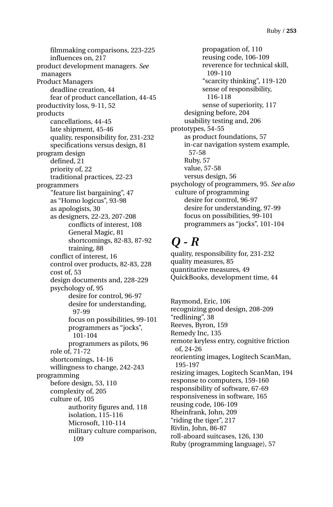filmmaking comparisons, [223-225](#page--1-4) influences on, [217](#page--1-4) product development managers. *See* managers Product Managers deadline creation, [44](#page-30-0) fear of product cancellation, [44-](#page-30-0)[45](#page-31-1) productivity loss, [9-11,](#page--1-4) [52](#page-38-1) products cancellations, [44-](#page-30-0)[45](#page-31-1) late shipment, [45-](#page-31-1)[46](#page-32-1) quality, responsibility for, [231-232](#page--1-4) specifications versus design, [81](#page--1-4) program design defined, [21](#page--1-4) priority of, [22](#page--1-4) traditional practices, [22-23](#page--1-4) programmers "feature list bargaining", [47](#page-33-1) as "Homo logicus", [93-98](#page--1-4) as apologists, [30](#page--1-4) as designers, [22-23, 207-208](#page--1-4) conflicts of interest, [108](#page--1-4) General Magic, [81](#page--1-4) shortcomings, [82-83, 87-92](#page--1-4) training, [88](#page--1-4) conflict of interest, [16](#page--1-4) control over products, [82-83, 228](#page--1-4) cost of, [53](#page-39-0) design documents and, [228-229](#page--1-4) psychology of, [95](#page--1-4) desire for control, [96-97](#page--1-4) desire for understanding, [97-99](#page--1-4) focus on possibilities, [99-101](#page--1-4) programmers as "jocks", [101-104](#page--1-4) programmers as pilots, [96](#page--1-4) role of, [71-72](#page--1-4) shortcomings, [14-16](#page--1-4) willingness to change, [242-243](#page--1-4) programming before design, [53,](#page-39-0) [110](#page--1-4) complexity of, [205](#page--1-4) culture of, [105](#page--1-4) authority figures and, [118](#page--1-4) isolation, [115-116](#page--1-4) Microsoft, [110-114](#page--1-4) military culture comparison, [109](#page--1-4)

propagation of, [110](#page--1-4) reusing code, [106-109](#page--1-4) reverence for technical skill, [109-110](#page--1-4) "scarcity thinking", [119-120](#page--1-4) sense of responsibility, [116-118](#page--1-4) sense of superiority, [117](#page--1-4) designing before, [204](#page--1-4) usability testing and, [206](#page--1-4) prototypes, [54-](#page-40-1)[55](#page-41-0) as product foundations, [57](#page-43-0) in-car navigation system example, [57-](#page-43-0)[58](#page-44-0) Ruby, [57](#page-43-0) value, [57-](#page-43-0)[58](#page-44-0) versus design, [56](#page-42-0) psychology of programmers, [95.](#page--1-4) *See also* culture of programming desire for control, [96-97](#page--1-4) desire for understanding, [97-99](#page--1-4) focus on possibilities, [99-101](#page--1-4) programmers as "jocks", [101-104](#page--1-4)

# *Q - R*

quality, responsibility for, [231-232](#page--1-4) quality measures, [85](#page--1-4) quantitative measures, [49](#page-35-0) QuickBooks, development time, [44](#page-30-0)

Raymond, Eric, [106](#page--1-4) recognizing good design, [208-209](#page--1-4) "redlining", [38](#page--1-4) Reeves, Byron, [159](#page--1-4) Remedy Inc, [135](#page--1-4) remote keyless entry, cognitive friction of, [24-26](#page--1-4) reorienting images, Logitech ScanMan, [195-197](#page--1-4) resizing images, Logitech ScanMan, [194](#page--1-4) response to computers, [159-160](#page--1-4) responsibility of software, [67-69](#page--1-4) responsiveness in software, [165](#page--1-4) reusing code, [106-109](#page--1-4) Rheinfrank, John, [209](#page--1-4) "riding the tiger", [217](#page--1-4) Rivlin, John, [86-87](#page--1-4) roll-aboard suitcases, [126, 130](#page--1-4) Ruby (programming language), [57](#page-43-0)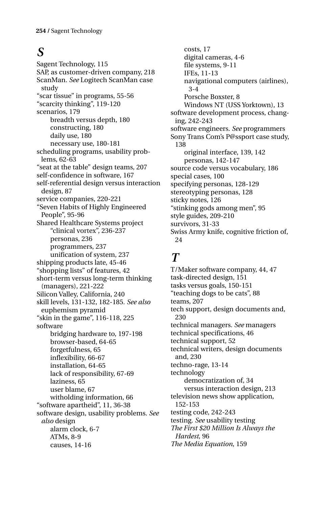# *S*

Sagent Technology, [115](#page--1-4) SAP, as customer-driven company, [218](#page--1-4) ScanMan. *See* Logitech ScanMan case study "scar tissue" in programs, [55-](#page-41-0)[56](#page-42-0) "scarcity thinking", [119-120](#page--1-4) scenarios, [179](#page--1-4) breadth versus depth, [180](#page--1-4) constructing, [180](#page--1-4) daily use, [180](#page--1-4) necessary use, [180-181](#page--1-4) scheduling programs, usability problems, [62-63](#page--1-4) "seat at the table" design teams, [207](#page--1-4) self-confidence in software, [167](#page--1-4) self-referential design versus interaction design, [87](#page--1-4) service companies, [220-221](#page--1-4) "Seven Habits of Highly Engineered People", [95-96](#page--1-4) Shared Healthcare Systems project "clinical vortex", [236-237](#page--1-4) personas, [236](#page--1-4) programmers, [237](#page--1-4) unification of system, [237](#page--1-4) shipping products late, [45-](#page-31-1)[46](#page-32-1) "shopping lists" of features, [42](#page-28-1) short-term versus long-term thinking (managers), [221-222](#page--1-4) Silicon Valley, California, [240](#page--1-4) skill levels, [131-132, 182-185.](#page--1-4) *See also* euphemism pyramid "skin in the game", [116-118,](#page--1-4) [225](#page--1-4) software bridging hardware to, [197-198](#page--1-4) browser-based, [64-65](#page--1-4) forgetfulness, [65](#page--1-4) inflexibility, [66-67](#page--1-4) installation, [64-65](#page--1-4) lack of responsibility, [67-69](#page--1-4) laziness, [65](#page--1-4) user blame, [67](#page--1-4) witholding information, [66](#page--1-4) "software apartheid", [11,](#page--1-4) [36-38](#page--1-4) software design, usability problems. *See also* design alarm clock, [6-7](#page--1-4) ATMs, [8-9](#page--1-4) causes, [14-16](#page--1-4)

costs, [17](#page--1-4) digital cameras, [4-6](#page--1-4) file systems, [9-11](#page--1-4) IFEs, [11-13](#page--1-4) navigational computers (airlines), [3-4](#page--1-4) Porsche Boxster, [8](#page--1-4) Windows NT (USS Yorktown), [13](#page--1-4) software development process, changing, [242-243](#page--1-4) software engineers. *See* programmers Sony Trans Com's P@ssport case study, [138](#page--1-4) original interface, [139, 142](#page--1-4) personas, [142-147](#page--1-4) source code versus vocabulary, [186](#page--1-4) special cases, [100](#page--1-4) specifying personas, [128-129](#page--1-4) stereotyping personas, [128](#page--1-4) sticky notes, [126](#page--1-4) "stinking gods among men", [95](#page--1-4) style guides, [209-210](#page--1-4) survivors, [31-33](#page--1-4) Swiss Army knife, cognitive friction of, [24](#page--1-4)

# *T*

T/Maker software company, [44,](#page-30-0) [47](#page-33-1) task-directed design, [151](#page--1-4) tasks versus goals, [150-151](#page--1-4) "teaching dogs to be cats", [88](#page--1-4) teams, [207](#page--1-4) tech support, design documents and, [230](#page--1-4) technical managers. *See* managers technical specifications, [46](#page-32-1) technical support, [52](#page-38-1) technical writers, design documents and, [230](#page--1-4) techno-rage, [13-14](#page--1-4) technology democratization of, [34](#page--1-4) versus interaction design, [213](#page--1-4) television news show application, [152-153](#page--1-4) testing code, [242-243](#page--1-4) testing. *See* usability testing *The First \$20 Million Is Always the Hardest*, [96](#page--1-4) *The Media Equation*, [159](#page--1-4)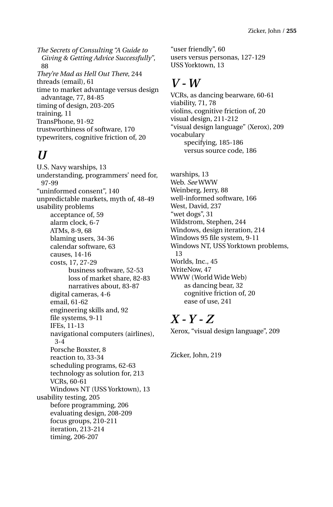*The Secrets of Consulting "A Guide to Giving & Getting Advice Successfully"*, [88](#page--1-4) *They're Mad as Hell Out There*, [244](#page--1-4) threads (email), [61](#page--1-4) time to market advantage versus design advantage, [77, 84-85](#page--1-4) timing of design, [203-205](#page--1-4) training, [11](#page--1-4) TransPhone, [91-92](#page--1-4) trustworthiness of software, [170](#page--1-4) typewriters, cognitive friction of, [20](#page--1-4)

### *U*

U.S. Navy warships, [13](#page--1-4) understanding, programmers' need for, [97-99](#page--1-4) "uninformed consent", [140](#page--1-4) unpredictable markets, myth of, [48-](#page-34-1)[49](#page-35-0) usability problems acceptance of, [59](#page--1-4) alarm clock, [6-7](#page--1-4) ATMs, [8-9, 68](#page--1-4) blaming users, [34-36](#page--1-4) calendar software, [63](#page--1-4) causes, [14-16](#page--1-4) costs, [17, 27-29](#page--1-4) business software, [52-](#page-38-1)[53](#page-39-0) loss of market share, [82-83](#page--1-4) narratives about, [83-87](#page--1-4) digital cameras, [4-6](#page--1-4) email, [61-62](#page--1-4) engineering skills and, [92](#page--1-4) file systems, [9-11](#page--1-4) IFEs, [11-13](#page--1-4) navigational computers (airlines), [3-4](#page--1-4) Porsche Boxster, [8](#page--1-4) reaction to, [33-34](#page--1-4) scheduling programs, [62-63](#page--1-4) technology as solution for, [213](#page--1-4) VCRs, [60-61](#page--1-4) Windows NT (USS Yorktown), [13](#page--1-4) usability testing, [205](#page--1-4) before programming, [206](#page--1-4) evaluating design, [208-209](#page--1-4) focus groups, [210-211](#page--1-4) iteration, [213-214](#page--1-4) timing, [206-207](#page--1-4)

"user friendly", [60](#page--1-4) users versus personas, [127-129](#page--1-4) USS Yorktown, [13](#page--1-4)

#### *V - W*

VCRs, as dancing bearware, [60-61](#page--1-4) viability, [71, 78](#page--1-4) violins, cognitive friction of, [20](#page--1-4) visual design, [211-212](#page--1-4) "visual design language" (Xerox), [209](#page--1-4) vocabulary specifying, [185-186](#page--1-4) versus source code, [186](#page--1-4)

warships, [13](#page--1-4) Web. *See* WWW Weinberg, Jerry, [88](#page--1-4) well-informed software, [166](#page--1-4) West, David, [237](#page--1-4) "wet dogs", [31](#page--1-4) Wildstrom, Stephen, [244](#page--1-4) Windows, design iteration, [214](#page--1-4) Windows 95 file system, [9-11](#page--1-4) Windows NT, USS Yorktown problems, [13](#page--1-4) Worlds, Inc., [45](#page-31-1) WriteNow, [47](#page-33-1) WWW (World Wide Web) as dancing bear, [32](#page--1-4) cognitive friction of, [20](#page--1-4) ease of use, [241](#page--1-4)

# *X - Y - Z*

Xerox, "visual design language", [209](#page--1-4)

Zicker, John, [219](#page--1-4)